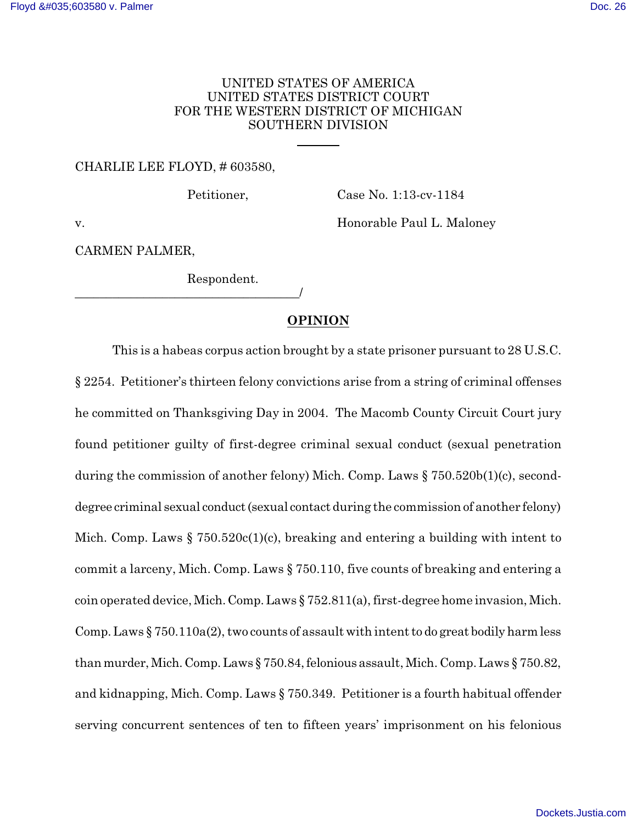## UNITED STATES OF AMERICA UNITED STATES DISTRICT COURT FOR THE WESTERN DISTRICT OF MICHIGAN SOUTHERN DIVISION

 $\overline{a}$ 

#### CHARLIE LEE FLOYD, # 603580,

Petitioner, Case No. 1:13-cv-1184

v. Honorable Paul L. Maloney

CARMEN PALMER,

Respondent.

\_\_\_\_\_\_\_\_\_\_\_\_\_\_\_\_\_\_\_\_\_\_\_\_\_\_\_\_\_\_\_\_\_\_\_\_/

# **OPINION**

This is a habeas corpus action brought by a state prisoner pursuant to 28 U.S.C. § 2254. Petitioner's thirteen felony convictions arise from a string of criminal offenses he committed on Thanksgiving Day in 2004. The Macomb County Circuit Court jury found petitioner guilty of first-degree criminal sexual conduct (sexual penetration during the commission of another felony) Mich. Comp. Laws § 750.520b(1)(c), seconddegree criminal sexual conduct(sexual contact during the commission of another felony) Mich. Comp. Laws  $\S 750.520c(1)(c)$ , breaking and entering a building with intent to commit a larceny, Mich. Comp. Laws § 750.110, five counts of breaking and entering a coin operated device, Mich. Comp.Laws § 752.811(a), first-degree home invasion, Mich. Comp. Laws  $\S 750.110a(2)$ , two counts of assault with intent to do great bodily harm less than murder, Mich. Comp. Laws  $\S 750.84$ , felonious assault, Mich. Comp. Laws  $\S 750.82$ , and kidnapping, Mich. Comp. Laws § 750.349. Petitioner is a fourth habitual offender serving concurrent sentences of ten to fifteen years' imprisonment on his felonious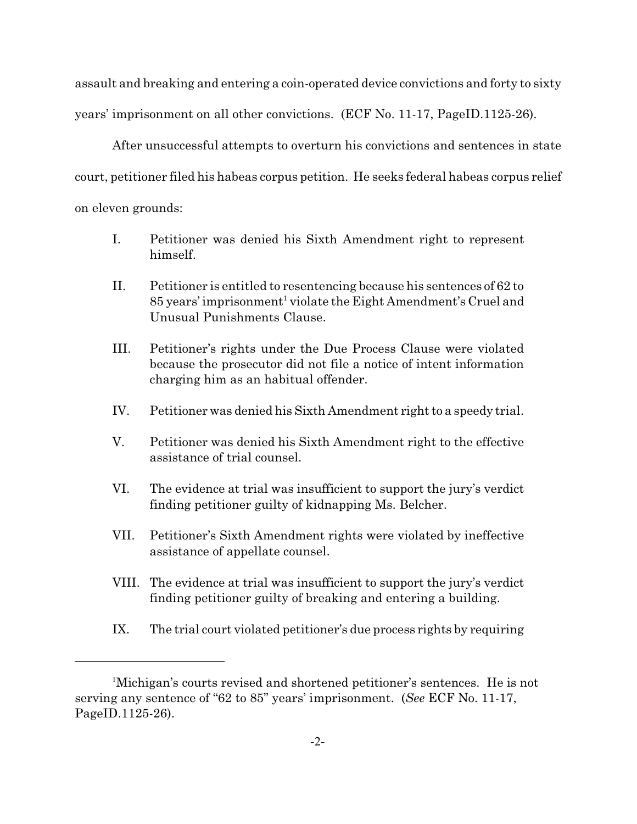assault and breaking and entering a coin-operated device convictions and forty to sixty years' imprisonment on all other convictions. (ECF No. 11-17, PageID.1125-26).

After unsuccessful attempts to overturn his convictions and sentences in state court, petitioner filed his habeas corpus petition. He seeks federal habeas corpus relief on eleven grounds:

- I. Petitioner was denied his Sixth Amendment right to represent himself.
- II. Petitioner is entitled to resentencing because his sentences of 62 to 85 years' imprisonment<sup>1</sup> violate the Eight Amendment's Cruel and Unusual Punishments Clause.
- III. Petitioner's rights under the Due Process Clause were violated because the prosecutor did not file a notice of intent information charging him as an habitual offender.
- IV. Petitioner was denied his Sixth Amendment right to a speedy trial.
- V. Petitioner was denied his Sixth Amendment right to the effective assistance of trial counsel.
- VI. The evidence at trial was insufficient to support the jury's verdict finding petitioner guilty of kidnapping Ms. Belcher.
- VII. Petitioner's Sixth Amendment rights were violated by ineffective assistance of appellate counsel.
- VIII. The evidence at trial was insufficient to support the jury's verdict finding petitioner guilty of breaking and entering a building.
- IX. The trial court violated petitioner's due process rights by requiring

<sup>1</sup>Michigan's courts revised and shortened petitioner's sentences. He is not serving any sentence of "62 to 85" years' imprisonment. (*See* ECF No. 11-17, PageID.1125-26).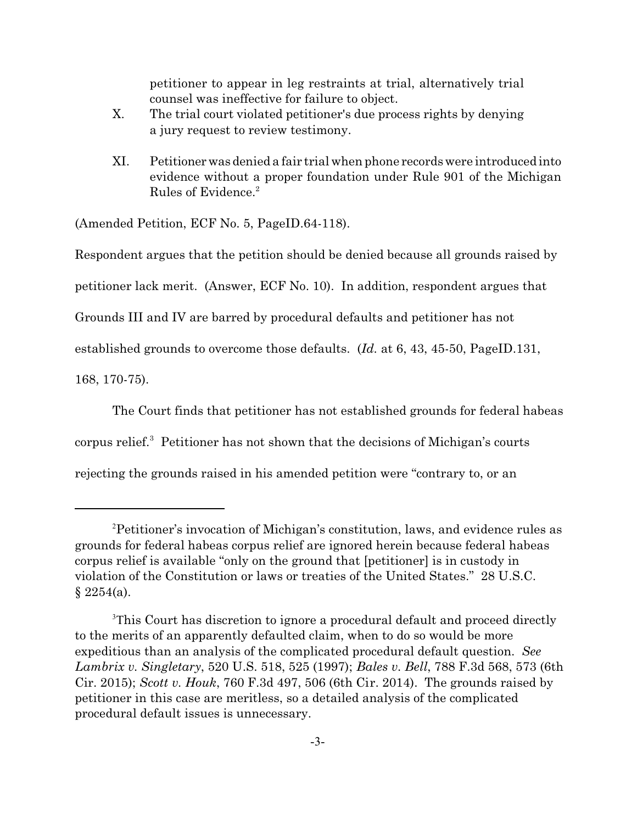petitioner to appear in leg restraints at trial, alternatively trial counsel was ineffective for failure to object.

- X. The trial court violated petitioner's due process rights by denying a jury request to review testimony.
- XI. Petitionerwasdenied a fair trial when phone records were introduced into evidence without a proper foundation under Rule 901 of the Michigan Rules of Evidence.<sup>2</sup>

(Amended Petition, ECF No. 5, PageID.64-118).

Respondent argues that the petition should be denied because all grounds raised by

petitioner lack merit. (Answer, ECF No. 10). In addition, respondent argues that

Grounds III and IV are barred by procedural defaults and petitioner has not

established grounds to overcome those defaults. (*Id.* at 6, 43, 45-50, PageID.131,

168, 170-75).

The Court finds that petitioner has not established grounds for federal habeas

corpus relief.<sup>3</sup> Petitioner has not shown that the decisions of Michigan's courts

rejecting the grounds raised in his amended petition were "contrary to, or an

<sup>2</sup>Petitioner's invocation of Michigan's constitution, laws, and evidence rules as grounds for federal habeas corpus relief are ignored herein because federal habeas corpus relief is available "only on the ground that [petitioner] is in custody in violation of the Constitution or laws or treaties of the United States." 28 U.S.C.  $§ 2254(a).$ 

<sup>3</sup>This Court has discretion to ignore a procedural default and proceed directly to the merits of an apparently defaulted claim, when to do so would be more expeditious than an analysis of the complicated procedural default question. *See Lambrix v. Singletary*, 520 U.S. 518, 525 (1997); *Bales v. Bell*, 788 F.3d 568, 573 (6th Cir. 2015); *Scott v. Houk*, 760 F.3d 497, 506 (6th Cir. 2014). The grounds raised by petitioner in this case are meritless, so a detailed analysis of the complicated procedural default issues is unnecessary.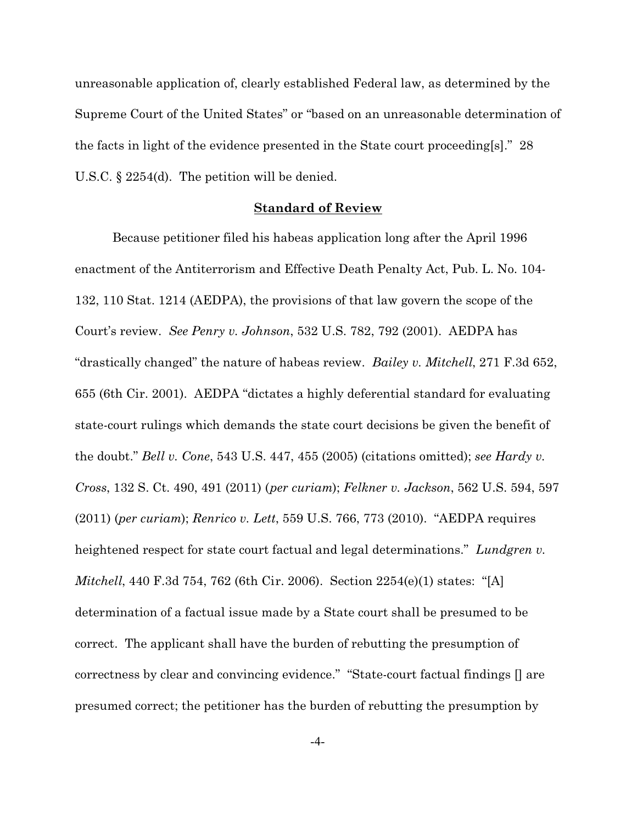unreasonable application of, clearly established Federal law, as determined by the Supreme Court of the United States" or "based on an unreasonable determination of the facts in light of the evidence presented in the State court proceeding[s]." 28 U.S.C. § 2254(d). The petition will be denied.

### **Standard of Review**

Because petitioner filed his habeas application long after the April 1996 enactment of the Antiterrorism and Effective Death Penalty Act, Pub. L. No. 104- 132, 110 Stat. 1214 (AEDPA), the provisions of that law govern the scope of the Court's review. *See Penry v. Johnson*, 532 U.S. 782, 792 (2001). AEDPA has "drastically changed" the nature of habeas review. *Bailey v. Mitchell*, 271 F.3d 652, 655 (6th Cir. 2001). AEDPA "dictates a highly deferential standard for evaluating state-court rulings which demands the state court decisions be given the benefit of the doubt." *Bell v. Cone*, 543 U.S. 447, 455 (2005) (citations omitted); *see Hardy v. Cross*, 132 S. Ct. 490, 491 (2011) (*per curiam*); *Felkner v. Jackson*, 562 U.S. 594, 597 (2011) (*per curiam*); *Renrico v. Lett*, 559 U.S. 766, 773 (2010). "AEDPA requires heightened respect for state court factual and legal determinations." *Lundgren v. Mitchell*, 440 F.3d 754, 762 (6th Cir. 2006). Section 2254(e)(1) states: "[A] determination of a factual issue made by a State court shall be presumed to be correct. The applicant shall have the burden of rebutting the presumption of correctness by clear and convincing evidence." "State-court factual findings [] are presumed correct; the petitioner has the burden of rebutting the presumption by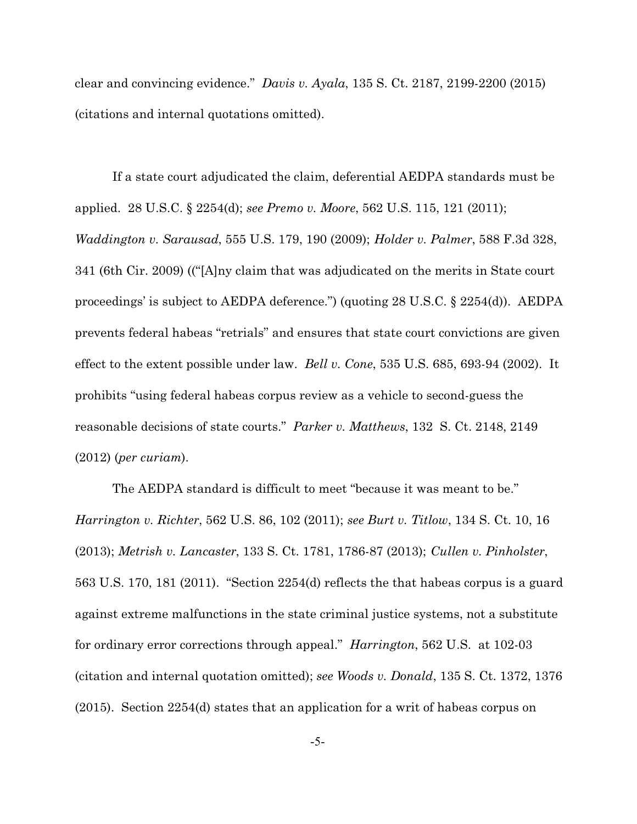clear and convincing evidence." *Davis v. Ayala*, 135 S. Ct. 2187, 2199-2200 (2015) (citations and internal quotations omitted).

If a state court adjudicated the claim, deferential AEDPA standards must be applied. 28 U.S.C. § 2254(d); *see Premo v. Moore*, 562 U.S. 115, 121 (2011); *Waddington v. Sarausad*, 555 U.S. 179, 190 (2009); *Holder v. Palmer*, 588 F.3d 328, 341 (6th Cir. 2009) (("[A]ny claim that was adjudicated on the merits in State court proceedings' is subject to AEDPA deference.") (quoting 28 U.S.C. § 2254(d)). AEDPA prevents federal habeas "retrials" and ensures that state court convictions are given effect to the extent possible under law. *Bell v. Cone*, 535 U.S. 685, 693-94 (2002). It prohibits "using federal habeas corpus review as a vehicle to second-guess the reasonable decisions of state courts." *Parker v. Matthews*, 132 S. Ct. 2148, 2149 (2012) (*per curiam*).

The AEDPA standard is difficult to meet "because it was meant to be." *Harrington v. Richter*, 562 U.S. 86, 102 (2011); *see Burt v. Titlow*, 134 S. Ct. 10, 16 (2013); *Metrish v. Lancaster*, 133 S. Ct. 1781, 1786-87 (2013); *Cullen v. Pinholster*, 563 U.S. 170, 181 (2011). "Section 2254(d) reflects the that habeas corpus is a guard against extreme malfunctions in the state criminal justice systems, not a substitute for ordinary error corrections through appeal." *Harrington*, 562 U.S. at 102-03 (citation and internal quotation omitted); *see Woods v. Donald*, 135 S. Ct. 1372, 1376 (2015). Section 2254(d) states that an application for a writ of habeas corpus on

-5-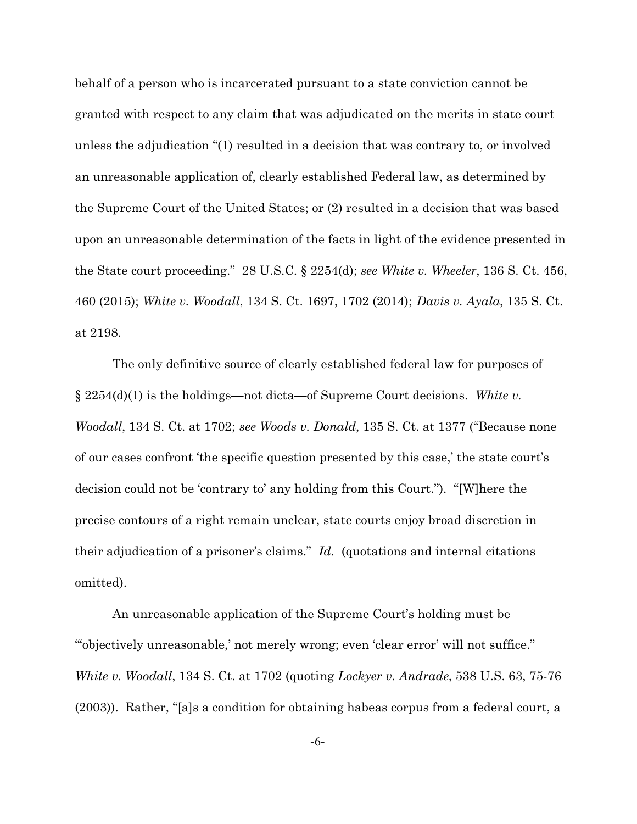behalf of a person who is incarcerated pursuant to a state conviction cannot be granted with respect to any claim that was adjudicated on the merits in state court unless the adjudication "(1) resulted in a decision that was contrary to, or involved an unreasonable application of, clearly established Federal law, as determined by the Supreme Court of the United States; or (2) resulted in a decision that was based upon an unreasonable determination of the facts in light of the evidence presented in the State court proceeding." 28 U.S.C. § 2254(d); *see White v. Wheeler*, 136 S. Ct. 456, 460 (2015); *White v. Woodall*, 134 S. Ct. 1697, 1702 (2014); *Davis v. Ayala*, 135 S. Ct. at 2198.

The only definitive source of clearly established federal law for purposes of § 2254(d)(1) is the holdings—not dicta—of Supreme Court decisions. *White v. Woodall*, 134 S. Ct. at 1702; *see Woods v. Donald*, 135 S. Ct. at 1377 ("Because none of our cases confront 'the specific question presented by this case,' the state court's decision could not be 'contrary to' any holding from this Court."). "[W]here the precise contours of a right remain unclear, state courts enjoy broad discretion in their adjudication of a prisoner's claims." *Id.* (quotations and internal citations omitted).

An unreasonable application of the Supreme Court's holding must be "'objectively unreasonable,' not merely wrong; even 'clear error' will not suffice." *White v. Woodall*, 134 S. Ct. at 1702 (quoting *Lockyer v. Andrade*, 538 U.S. 63, 75-76 (2003)). Rather, "[a]s a condition for obtaining habeas corpus from a federal court, a

-6-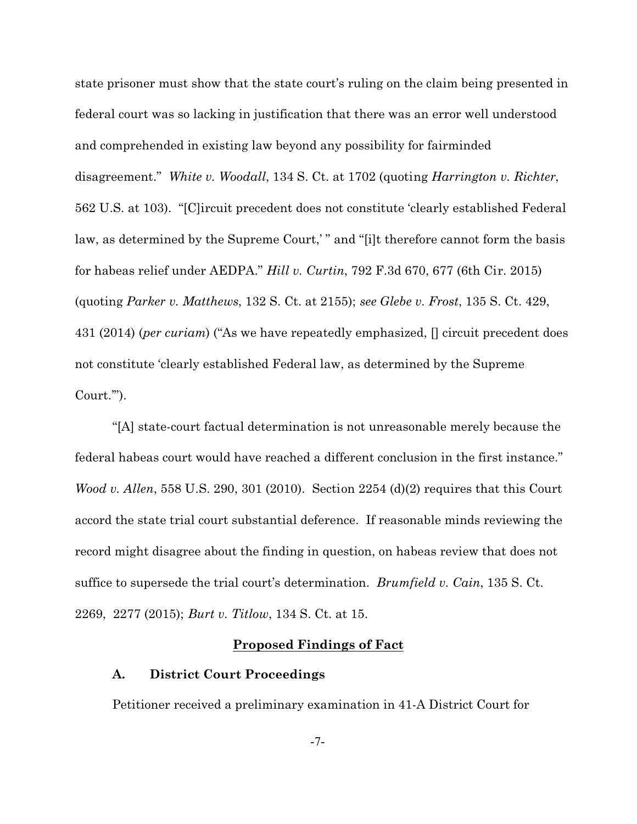state prisoner must show that the state court's ruling on the claim being presented in federal court was so lacking in justification that there was an error well understood and comprehended in existing law beyond any possibility for fairminded disagreement." *White v. Woodall*, 134 S. Ct. at 1702 (quoting *Harrington v. Richter*, 562 U.S. at 103). "[C]ircuit precedent does not constitute 'clearly established Federal law, as determined by the Supreme Court,'" and "[i]t therefore cannot form the basis for habeas relief under AEDPA." *Hill v. Curtin*, 792 F.3d 670, 677 (6th Cir. 2015) (quoting *Parker v. Matthews*, 132 S. Ct. at 2155); *see Glebe v. Frost*, 135 S. Ct. 429, 431 (2014) (*per curiam*) ("As we have repeatedly emphasized, [] circuit precedent does not constitute 'clearly established Federal law, as determined by the Supreme Court.'").

"[A] state-court factual determination is not unreasonable merely because the federal habeas court would have reached a different conclusion in the first instance." *Wood v. Allen*, 558 U.S. 290, 301 (2010). Section 2254 (d)(2) requires that this Court accord the state trial court substantial deference. If reasonable minds reviewing the record might disagree about the finding in question, on habeas review that does not suffice to supersede the trial court's determination. *Brumfield v. Cain*, 135 S. Ct. 2269, 2277 (2015); *Burt v. Titlow*, 134 S. Ct. at 15.

### **Proposed Findings of Fact**

### **A. District Court Proceedings**

Petitioner received a preliminary examination in 41-A District Court for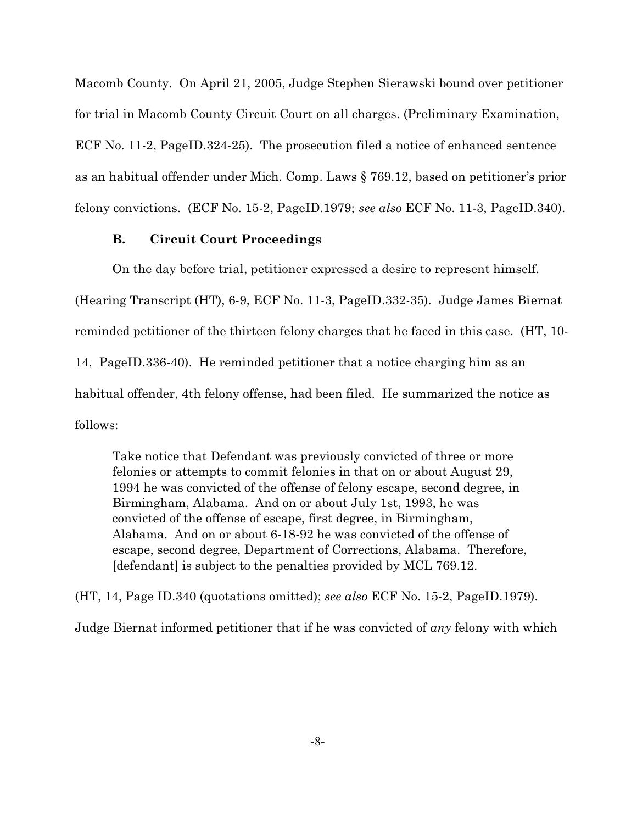Macomb County. On April 21, 2005, Judge Stephen Sierawski bound over petitioner for trial in Macomb County Circuit Court on all charges. (Preliminary Examination, ECF No. 11-2, PageID.324-25). The prosecution filed a notice of enhanced sentence as an habitual offender under Mich. Comp. Laws § 769.12, based on petitioner's prior felony convictions. (ECF No. 15-2, PageID.1979; *see also* ECF No. 11-3, PageID.340).

# **B. Circuit Court Proceedings**

On the day before trial, petitioner expressed a desire to represent himself. (Hearing Transcript (HT), 6-9, ECF No. 11-3, PageID.332-35). Judge James Biernat reminded petitioner of the thirteen felony charges that he faced in this case. (HT, 10- 14, PageID.336-40). He reminded petitioner that a notice charging him as an habitual offender, 4th felony offense, had been filed. He summarized the notice as follows:

Take notice that Defendant was previously convicted of three or more felonies or attempts to commit felonies in that on or about August 29, 1994 he was convicted of the offense of felony escape, second degree, in Birmingham, Alabama. And on or about July 1st, 1993, he was convicted of the offense of escape, first degree, in Birmingham, Alabama. And on or about 6-18-92 he was convicted of the offense of escape, second degree, Department of Corrections, Alabama. Therefore, [defendant] is subject to the penalties provided by MCL 769.12.

(HT, 14, Page ID.340 (quotations omitted); *see also* ECF No. 15-2, PageID.1979). Judge Biernat informed petitioner that if he was convicted of *any* felony with which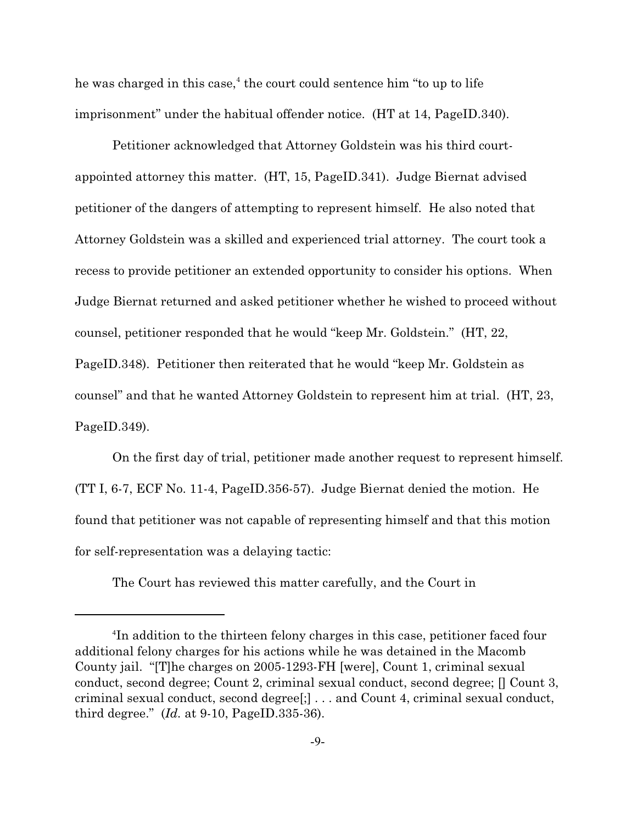he was charged in this case,<sup>4</sup> the court could sentence him "to up to life imprisonment" under the habitual offender notice. (HT at 14, PageID.340).

Petitioner acknowledged that Attorney Goldstein was his third courtappointed attorney this matter. (HT, 15, PageID.341). Judge Biernat advised petitioner of the dangers of attempting to represent himself. He also noted that Attorney Goldstein was a skilled and experienced trial attorney. The court took a recess to provide petitioner an extended opportunity to consider his options. When Judge Biernat returned and asked petitioner whether he wished to proceed without counsel, petitioner responded that he would "keep Mr. Goldstein." (HT, 22, PageID.348). Petitioner then reiterated that he would "keep Mr. Goldstein as counsel" and that he wanted Attorney Goldstein to represent him at trial. (HT, 23, PageID.349).

On the first day of trial, petitioner made another request to represent himself. (TT I, 6-7, ECF No. 11-4, PageID.356-57). Judge Biernat denied the motion. He found that petitioner was not capable of representing himself and that this motion for self-representation was a delaying tactic:

The Court has reviewed this matter carefully, and the Court in

<sup>4</sup> In addition to the thirteen felony charges in this case, petitioner faced four additional felony charges for his actions while he was detained in the Macomb County jail. "[T]he charges on 2005-1293-FH [were], Count 1, criminal sexual conduct, second degree; Count 2, criminal sexual conduct, second degree; [] Count 3, criminal sexual conduct, second degree[;] . . . and Count 4, criminal sexual conduct, third degree." (*Id.* at 9-10, PageID.335-36).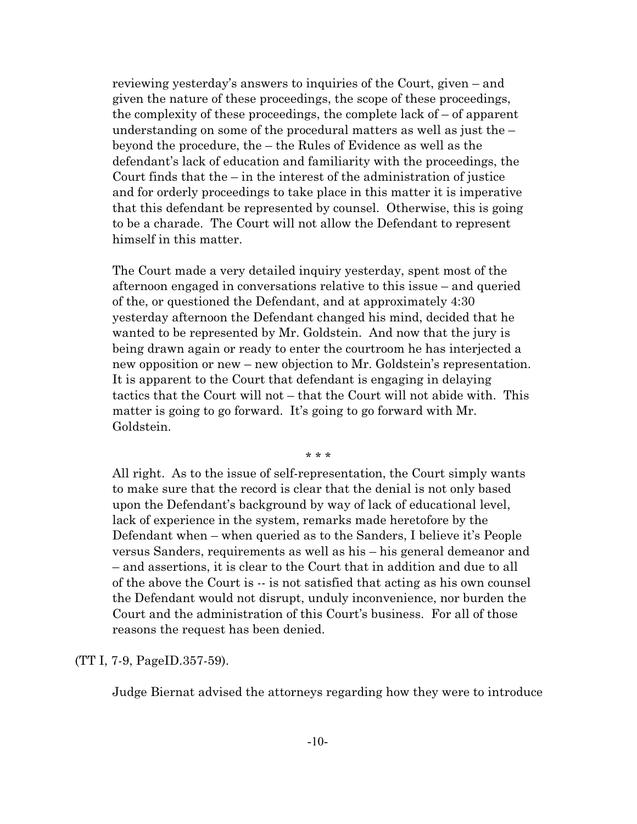reviewing yesterday's answers to inquiries of the Court, given – and given the nature of these proceedings, the scope of these proceedings, the complexity of these proceedings, the complete lack of – of apparent understanding on some of the procedural matters as well as just the – beyond the procedure, the – the Rules of Evidence as well as the defendant's lack of education and familiarity with the proceedings, the Court finds that the  $-$  in the interest of the administration of justice and for orderly proceedings to take place in this matter it is imperative that this defendant be represented by counsel. Otherwise, this is going to be a charade. The Court will not allow the Defendant to represent himself in this matter.

The Court made a very detailed inquiry yesterday, spent most of the afternoon engaged in conversations relative to this issue – and queried of the, or questioned the Defendant, and at approximately 4:30 yesterday afternoon the Defendant changed his mind, decided that he wanted to be represented by Mr. Goldstein. And now that the jury is being drawn again or ready to enter the courtroom he has interjected a new opposition or new – new objection to Mr. Goldstein's representation. It is apparent to the Court that defendant is engaging in delaying tactics that the Court will not – that the Court will not abide with. This matter is going to go forward. It's going to go forward with Mr. Goldstein.

\* \* \*

All right. As to the issue of self-representation, the Court simply wants to make sure that the record is clear that the denial is not only based upon the Defendant's background by way of lack of educational level, lack of experience in the system, remarks made heretofore by the Defendant when – when queried as to the Sanders, I believe it's People versus Sanders, requirements as well as his – his general demeanor and – and assertions, it is clear to the Court that in addition and due to all of the above the Court is -- is not satisfied that acting as his own counsel the Defendant would not disrupt, unduly inconvenience, nor burden the Court and the administration of this Court's business. For all of those reasons the request has been denied.

(TT I, 7-9, PageID.357-59).

Judge Biernat advised the attorneys regarding how they were to introduce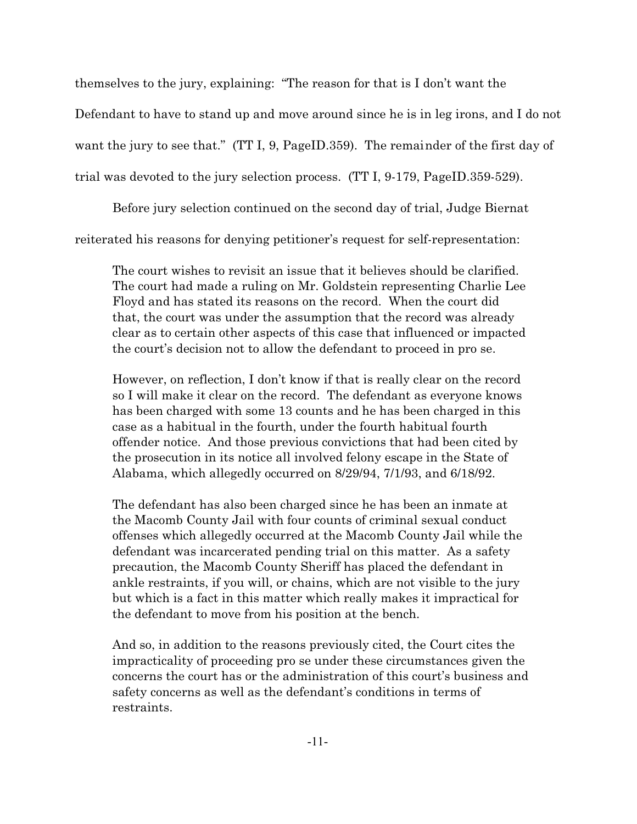themselves to the jury, explaining: "The reason for that is I don't want the Defendant to have to stand up and move around since he is in leg irons, and I do not want the jury to see that." (TT I, 9, PageID.359). The remainder of the first day of trial was devoted to the jury selection process. (TT I, 9-179, PageID.359-529).

Before jury selection continued on the second day of trial, Judge Biernat reiterated his reasons for denying petitioner's request for self-representation:

The court wishes to revisit an issue that it believes should be clarified. The court had made a ruling on Mr. Goldstein representing Charlie Lee Floyd and has stated its reasons on the record. When the court did that, the court was under the assumption that the record was already clear as to certain other aspects of this case that influenced or impacted the court's decision not to allow the defendant to proceed in pro se.

However, on reflection, I don't know if that is really clear on the record so I will make it clear on the record. The defendant as everyone knows has been charged with some 13 counts and he has been charged in this case as a habitual in the fourth, under the fourth habitual fourth offender notice. And those previous convictions that had been cited by the prosecution in its notice all involved felony escape in the State of Alabama, which allegedly occurred on 8/29/94, 7/1/93, and 6/18/92.

The defendant has also been charged since he has been an inmate at the Macomb County Jail with four counts of criminal sexual conduct offenses which allegedly occurred at the Macomb County Jail while the defendant was incarcerated pending trial on this matter. As a safety precaution, the Macomb County Sheriff has placed the defendant in ankle restraints, if you will, or chains, which are not visible to the jury but which is a fact in this matter which really makes it impractical for the defendant to move from his position at the bench.

And so, in addition to the reasons previously cited, the Court cites the impracticality of proceeding pro se under these circumstances given the concerns the court has or the administration of this court's business and safety concerns as well as the defendant's conditions in terms of restraints.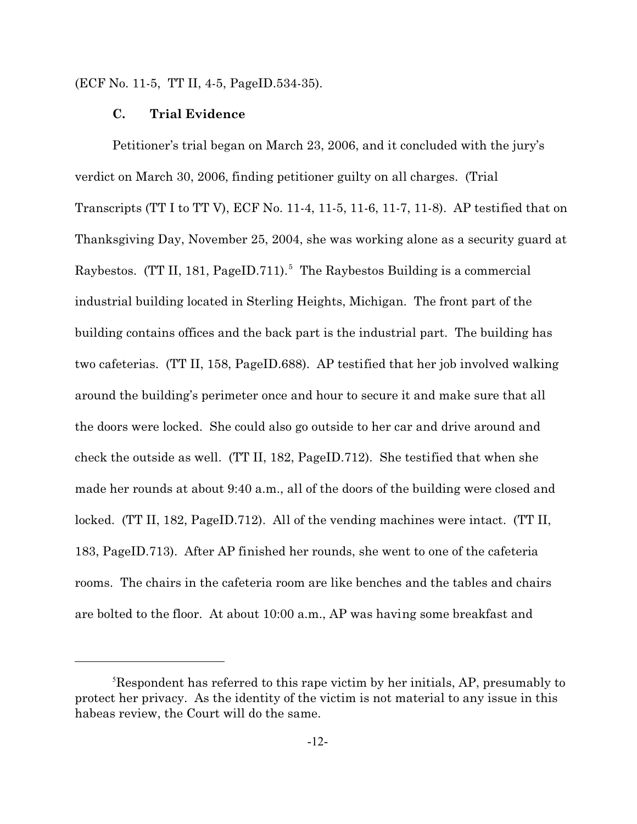(ECF No. 11-5, TT II, 4-5, PageID.534-35).

### **C. Trial Evidence**

Petitioner's trial began on March 23, 2006, and it concluded with the jury's verdict on March 30, 2006, finding petitioner guilty on all charges. (Trial Transcripts (TT I to TT V), ECF No. 11-4, 11-5, 11-6, 11-7, 11-8). AP testified that on Thanksgiving Day, November 25, 2004, she was working alone as a security guard at Raybestos. (TT II, 181, PageID.711).<sup>5</sup> The Raybestos Building is a commercial industrial building located in Sterling Heights, Michigan. The front part of the building contains offices and the back part is the industrial part. The building has two cafeterias. (TT II, 158, PageID.688). AP testified that her job involved walking around the building's perimeter once and hour to secure it and make sure that all the doors were locked. She could also go outside to her car and drive around and check the outside as well. (TT II, 182, PageID.712). She testified that when she made her rounds at about 9:40 a.m., all of the doors of the building were closed and locked. (TT II, 182, PageID.712). All of the vending machines were intact. (TT II, 183, PageID.713). After AP finished her rounds, she went to one of the cafeteria rooms. The chairs in the cafeteria room are like benches and the tables and chairs are bolted to the floor. At about 10:00 a.m., AP was having some breakfast and

<sup>5</sup>Respondent has referred to this rape victim by her initials, AP, presumably to protect her privacy. As the identity of the victim is not material to any issue in this habeas review, the Court will do the same.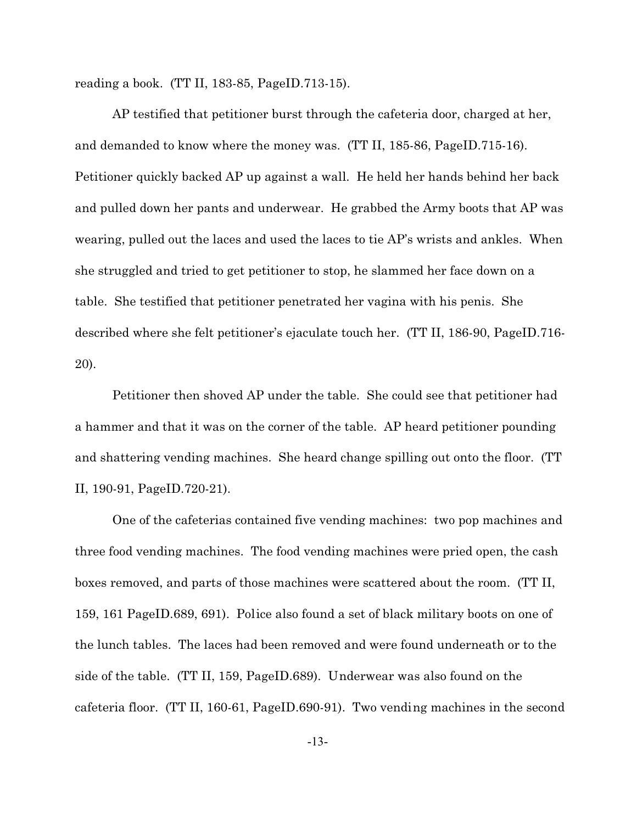reading a book. (TT II, 183-85, PageID.713-15).

AP testified that petitioner burst through the cafeteria door, charged at her, and demanded to know where the money was. (TT II, 185-86, PageID.715-16). Petitioner quickly backed AP up against a wall. He held her hands behind her back and pulled down her pants and underwear. He grabbed the Army boots that AP was wearing, pulled out the laces and used the laces to tie AP's wrists and ankles. When she struggled and tried to get petitioner to stop, he slammed her face down on a table. She testified that petitioner penetrated her vagina with his penis. She described where she felt petitioner's ejaculate touch her. (TT II, 186-90, PageID.716- 20).

Petitioner then shoved AP under the table. She could see that petitioner had a hammer and that it was on the corner of the table. AP heard petitioner pounding and shattering vending machines. She heard change spilling out onto the floor. (TT II, 190-91, PageID.720-21).

One of the cafeterias contained five vending machines: two pop machines and three food vending machines. The food vending machines were pried open, the cash boxes removed, and parts of those machines were scattered about the room. (TT II, 159, 161 PageID.689, 691). Police also found a set of black military boots on one of the lunch tables. The laces had been removed and were found underneath or to the side of the table. (TT II, 159, PageID.689). Underwear was also found on the cafeteria floor. (TT II, 160-61, PageID.690-91). Two vending machines in the second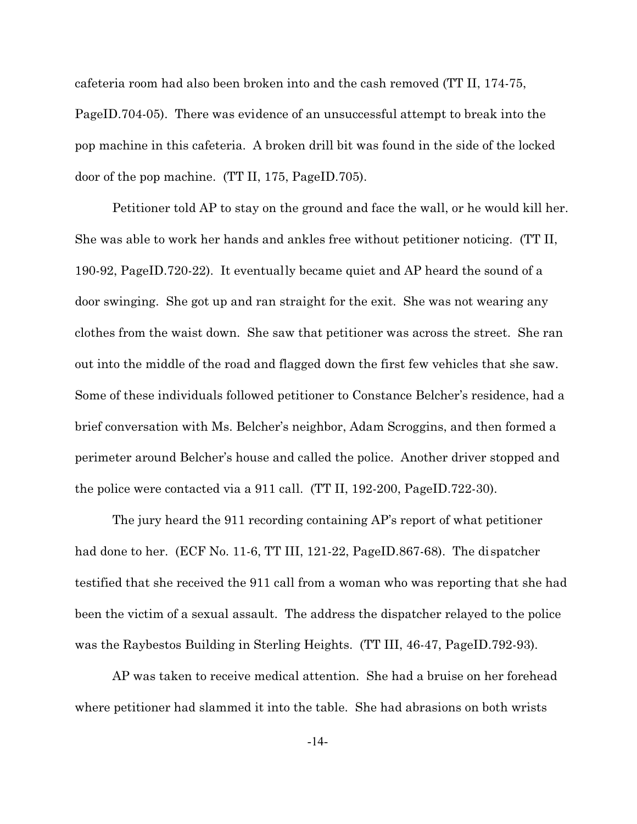cafeteria room had also been broken into and the cash removed (TT II, 174-75, PageID.704-05). There was evidence of an unsuccessful attempt to break into the pop machine in this cafeteria. A broken drill bit was found in the side of the locked door of the pop machine. (TT II, 175, PageID.705).

Petitioner told AP to stay on the ground and face the wall, or he would kill her. She was able to work her hands and ankles free without petitioner noticing. (TT II, 190-92, PageID.720-22). It eventually became quiet and AP heard the sound of a door swinging. She got up and ran straight for the exit. She was not wearing any clothes from the waist down. She saw that petitioner was across the street. She ran out into the middle of the road and flagged down the first few vehicles that she saw. Some of these individuals followed petitioner to Constance Belcher's residence, had a brief conversation with Ms. Belcher's neighbor, Adam Scroggins, and then formed a perimeter around Belcher's house and called the police. Another driver stopped and the police were contacted via a 911 call. (TT II, 192-200, PageID.722-30).

The jury heard the 911 recording containing AP's report of what petitioner had done to her. (ECF No. 11-6, TT III, 121-22, PageID.867-68). The dispatcher testified that she received the 911 call from a woman who was reporting that she had been the victim of a sexual assault. The address the dispatcher relayed to the police was the Raybestos Building in Sterling Heights. (TT III, 46-47, PageID.792-93).

AP was taken to receive medical attention. She had a bruise on her forehead where petitioner had slammed it into the table. She had abrasions on both wrists

-14-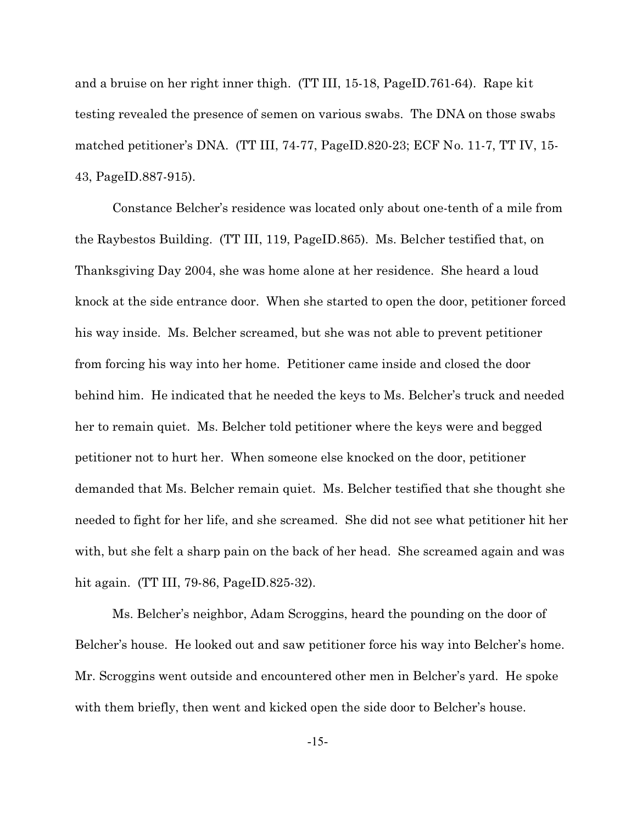and a bruise on her right inner thigh. (TT III, 15-18, PageID.761-64). Rape kit testing revealed the presence of semen on various swabs. The DNA on those swabs matched petitioner's DNA. (TT III, 74-77, PageID.820-23; ECF No. 11-7, TT IV, 15- 43, PageID.887-915).

Constance Belcher's residence was located only about one-tenth of a mile from the Raybestos Building. (TT III, 119, PageID.865). Ms. Belcher testified that, on Thanksgiving Day 2004, she was home alone at her residence. She heard a loud knock at the side entrance door. When she started to open the door, petitioner forced his way inside. Ms. Belcher screamed, but she was not able to prevent petitioner from forcing his way into her home. Petitioner came inside and closed the door behind him. He indicated that he needed the keys to Ms. Belcher's truck and needed her to remain quiet. Ms. Belcher told petitioner where the keys were and begged petitioner not to hurt her. When someone else knocked on the door, petitioner demanded that Ms. Belcher remain quiet. Ms. Belcher testified that she thought she needed to fight for her life, and she screamed. She did not see what petitioner hit her with, but she felt a sharp pain on the back of her head. She screamed again and was hit again. (TT III, 79-86, PageID.825-32).

Ms. Belcher's neighbor, Adam Scroggins, heard the pounding on the door of Belcher's house. He looked out and saw petitioner force his way into Belcher's home. Mr. Scroggins went outside and encountered other men in Belcher's yard. He spoke with them briefly, then went and kicked open the side door to Belcher's house.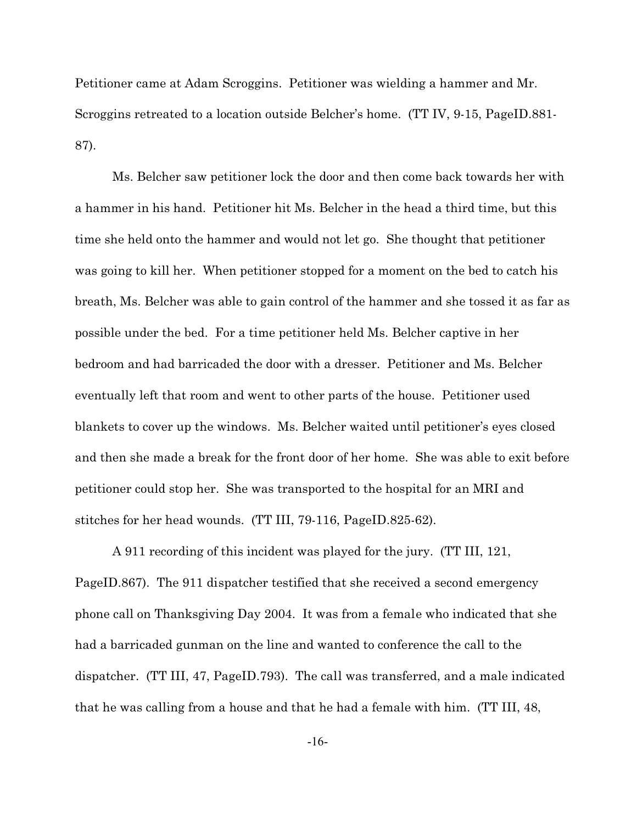Petitioner came at Adam Scroggins. Petitioner was wielding a hammer and Mr. Scroggins retreated to a location outside Belcher's home. (TT IV, 9-15, PageID.881- 87).

Ms. Belcher saw petitioner lock the door and then come back towards her with a hammer in his hand. Petitioner hit Ms. Belcher in the head a third time, but this time she held onto the hammer and would not let go. She thought that petitioner was going to kill her. When petitioner stopped for a moment on the bed to catch his breath, Ms. Belcher was able to gain control of the hammer and she tossed it as far as possible under the bed. For a time petitioner held Ms. Belcher captive in her bedroom and had barricaded the door with a dresser. Petitioner and Ms. Belcher eventually left that room and went to other parts of the house. Petitioner used blankets to cover up the windows. Ms. Belcher waited until petitioner's eyes closed and then she made a break for the front door of her home. She was able to exit before petitioner could stop her. She was transported to the hospital for an MRI and stitches for her head wounds. (TT III, 79-116, PageID.825-62).

A 911 recording of this incident was played for the jury. (TT III, 121, PageID.867). The 911 dispatcher testified that she received a second emergency phone call on Thanksgiving Day 2004. It was from a female who indicated that she had a barricaded gunman on the line and wanted to conference the call to the dispatcher. (TT III, 47, PageID.793). The call was transferred, and a male indicated that he was calling from a house and that he had a female with him. (TT III, 48,

-16-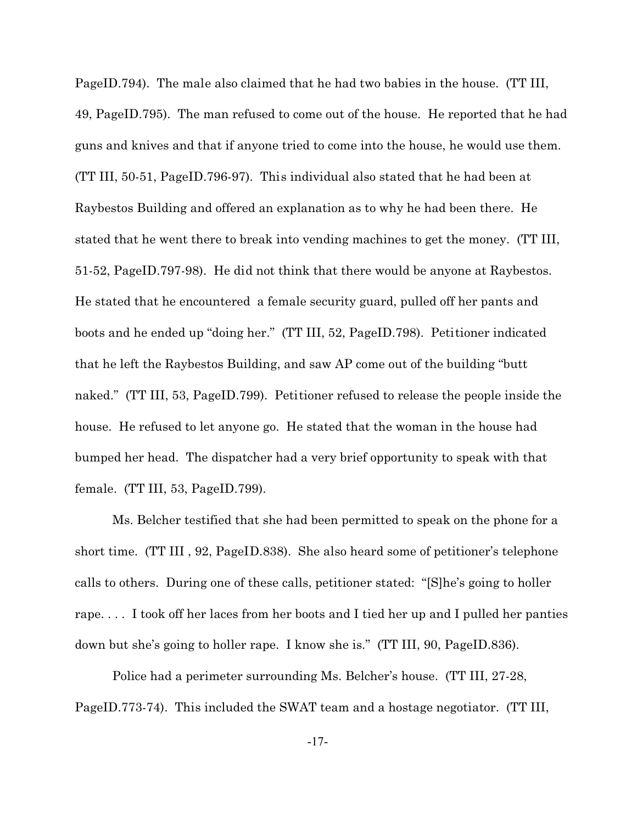PageID.794). The male also claimed that he had two babies in the house. (TT III, 49, PageID.795). The man refused to come out of the house. He reported that he had guns and knives and that if anyone tried to come into the house, he would use them. (TT III, 50-51, PageID.796-97). This individual also stated that he had been at Raybestos Building and offered an explanation as to why he had been there. He stated that he went there to break into vending machines to get the money. (TT III, 51-52, PageID.797-98). He did not think that there would be anyone at Raybestos. He stated that he encountered a female security guard, pulled off her pants and boots and he ended up "doing her." (TT III, 52, PageID.798). Petitioner indicated that he left the Raybestos Building, and saw AP come out of the building "butt naked." (TT III, 53, PageID.799). Petitioner refused to release the people inside the house. He refused to let anyone go. He stated that the woman in the house had bumped her head. The dispatcher had a very brief opportunity to speak with that female. (TT III, 53, PageID.799).

Ms. Belcher testified that she had been permitted to speak on the phone for a short time. (TT III , 92, PageID.838). She also heard some of petitioner's telephone calls to others. During one of these calls, petitioner stated: "[S]he's going to holler rape. . . . I took off her laces from her boots and I tied her up and I pulled her panties down but she's going to holler rape. I know she is." (TT III, 90, PageID.836).

Police had a perimeter surrounding Ms. Belcher's house. (TT III, 27-28, PageID.773-74). This included the SWAT team and a hostage negotiator. (TT III,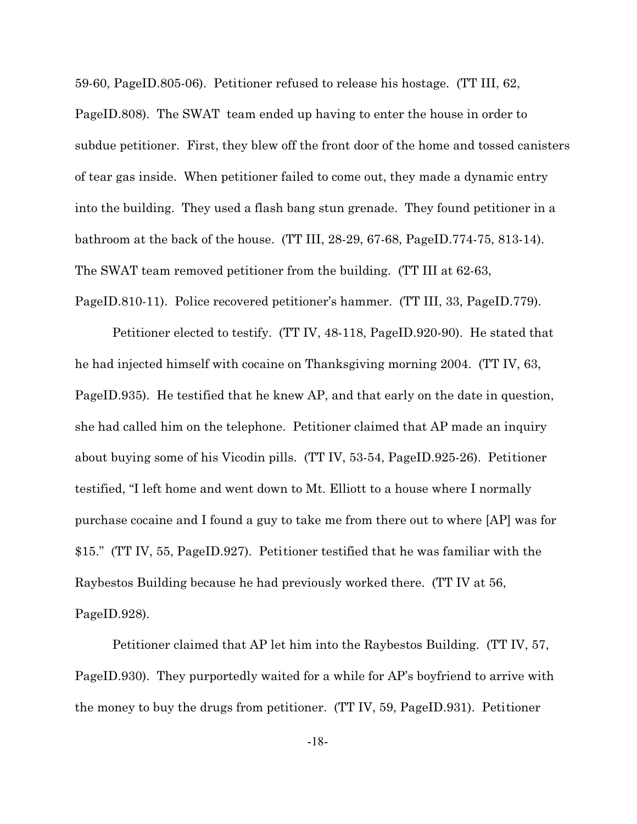59-60, PageID.805-06). Petitioner refused to release his hostage. (TT III, 62, PageID.808). The SWAT team ended up having to enter the house in order to subdue petitioner. First, they blew off the front door of the home and tossed canisters of tear gas inside. When petitioner failed to come out, they made a dynamic entry into the building. They used a flash bang stun grenade. They found petitioner in a bathroom at the back of the house. (TT III, 28-29, 67-68, PageID.774-75, 813-14). The SWAT team removed petitioner from the building. (TT III at 62-63, PageID.810-11). Police recovered petitioner's hammer. (TT III, 33, PageID.779).

Petitioner elected to testify. (TT IV, 48-118, PageID.920-90). He stated that he had injected himself with cocaine on Thanksgiving morning 2004. (TT IV, 63, PageID.935). He testified that he knew AP, and that early on the date in question, she had called him on the telephone. Petitioner claimed that AP made an inquiry about buying some of his Vicodin pills. (TT IV, 53-54, PageID.925-26). Petitioner testified, "I left home and went down to Mt. Elliott to a house where I normally purchase cocaine and I found a guy to take me from there out to where [AP] was for \$15." (TT IV, 55, PageID.927). Petitioner testified that he was familiar with the Raybestos Building because he had previously worked there. (TT IV at 56, PageID.928).

Petitioner claimed that AP let him into the Raybestos Building. (TT IV, 57, PageID.930). They purportedly waited for a while for AP's boyfriend to arrive with the money to buy the drugs from petitioner. (TT IV, 59, PageID.931). Petitioner

-18-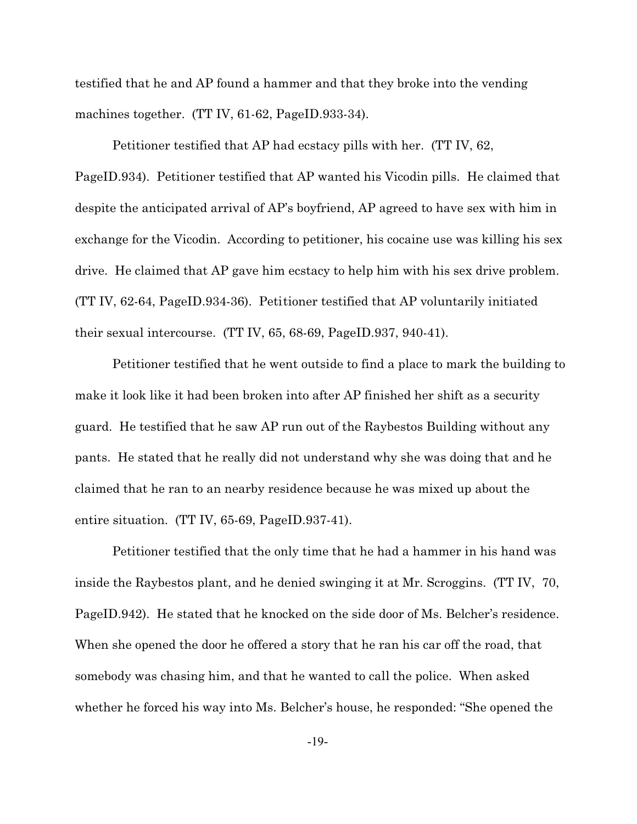testified that he and AP found a hammer and that they broke into the vending machines together. (TT IV, 61-62, PageID.933-34).

Petitioner testified that AP had ecstacy pills with her. (TT IV, 62, PageID.934). Petitioner testified that AP wanted his Vicodin pills. He claimed that despite the anticipated arrival of AP's boyfriend, AP agreed to have sex with him in exchange for the Vicodin. According to petitioner, his cocaine use was killing his sex drive. He claimed that AP gave him ecstacy to help him with his sex drive problem. (TT IV, 62-64, PageID.934-36). Petitioner testified that AP voluntarily initiated their sexual intercourse. (TT IV, 65, 68-69, PageID.937, 940-41).

Petitioner testified that he went outside to find a place to mark the building to make it look like it had been broken into after AP finished her shift as a security guard. He testified that he saw AP run out of the Raybestos Building without any pants. He stated that he really did not understand why she was doing that and he claimed that he ran to an nearby residence because he was mixed up about the entire situation. (TT IV, 65-69, PageID.937-41).

Petitioner testified that the only time that he had a hammer in his hand was inside the Raybestos plant, and he denied swinging it at Mr. Scroggins. (TT IV, 70, PageID.942). He stated that he knocked on the side door of Ms. Belcher's residence. When she opened the door he offered a story that he ran his car off the road, that somebody was chasing him, and that he wanted to call the police. When asked whether he forced his way into Ms. Belcher's house, he responded: "She opened the

-19-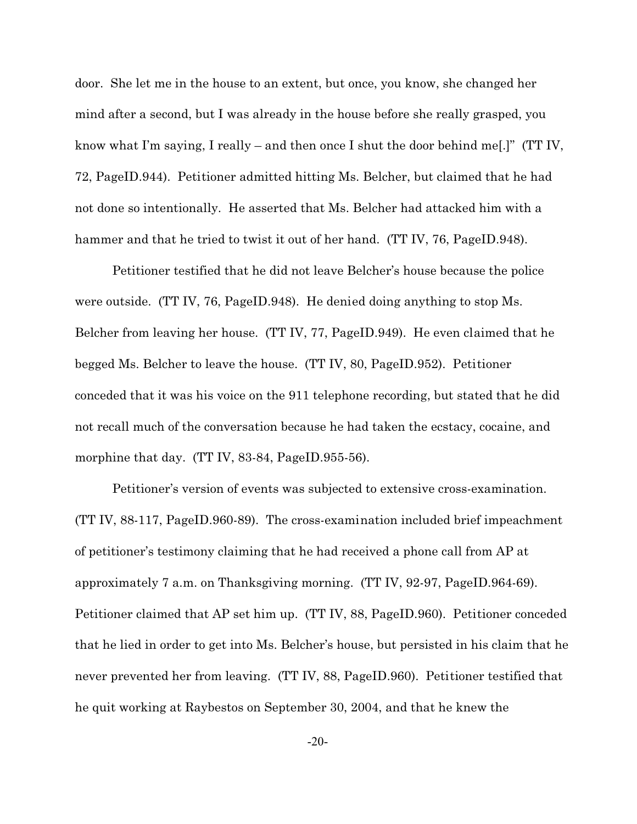door. She let me in the house to an extent, but once, you know, she changed her mind after a second, but I was already in the house before she really grasped, you know what I'm saying, I really – and then once I shut the door behind me[.]" (TT IV, 72, PageID.944). Petitioner admitted hitting Ms. Belcher, but claimed that he had not done so intentionally. He asserted that Ms. Belcher had attacked him with a hammer and that he tried to twist it out of her hand. (TT IV, 76, PageID.948).

Petitioner testified that he did not leave Belcher's house because the police were outside. (TT IV, 76, PageID.948). He denied doing anything to stop Ms. Belcher from leaving her house. (TT IV, 77, PageID.949). He even claimed that he begged Ms. Belcher to leave the house. (TT IV, 80, PageID.952). Petitioner conceded that it was his voice on the 911 telephone recording, but stated that he did not recall much of the conversation because he had taken the ecstacy, cocaine, and morphine that day. (TT IV, 83-84, PageID.955-56).

Petitioner's version of events was subjected to extensive cross-examination. (TT IV, 88-117, PageID.960-89). The cross-examination included brief impeachment of petitioner's testimony claiming that he had received a phone call from AP at approximately 7 a.m. on Thanksgiving morning. (TT IV, 92-97, PageID.964-69). Petitioner claimed that AP set him up. (TT IV, 88, PageID.960). Petitioner conceded that he lied in order to get into Ms. Belcher's house, but persisted in his claim that he never prevented her from leaving. (TT IV, 88, PageID.960). Petitioner testified that he quit working at Raybestos on September 30, 2004, and that he knew the

-20-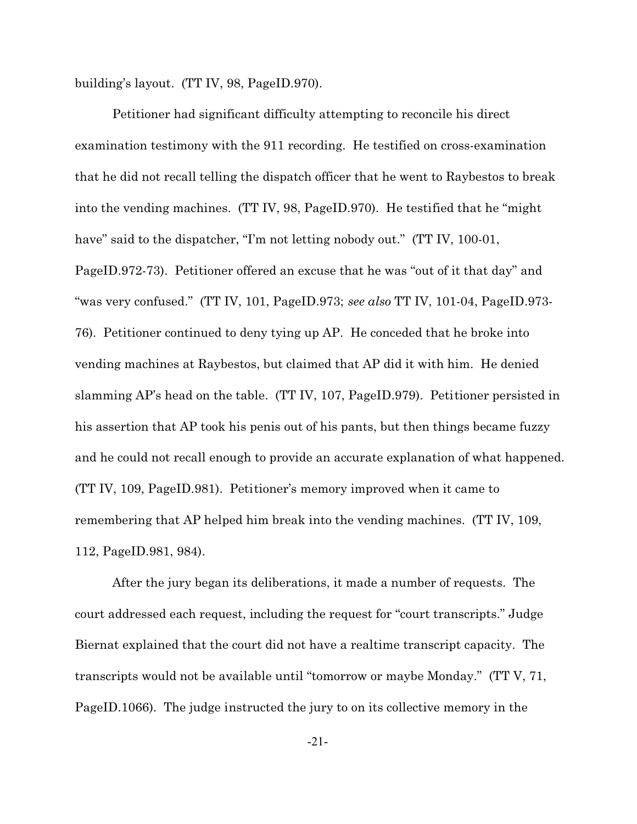building's layout. (TT IV, 98, PageID.970).

Petitioner had significant difficulty attempting to reconcile his direct examination testimony with the 911 recording. He testified on cross-examination that he did not recall telling the dispatch officer that he went to Raybestos to break into the vending machines. (TT IV, 98, PageID.970). He testified that he "might have" said to the dispatcher, "I'm not letting nobody out." (TT IV, 100-01, PageID.972-73). Petitioner offered an excuse that he was "out of it that day" and "was very confused." (TT IV, 101, PageID.973; *see also* TT IV, 101-04, PageID.973- 76). Petitioner continued to deny tying up AP. He conceded that he broke into vending machines at Raybestos, but claimed that AP did it with him. He denied slamming AP's head on the table. (TT IV, 107, PageID.979). Petitioner persisted in his assertion that AP took his penis out of his pants, but then things became fuzzy and he could not recall enough to provide an accurate explanation of what happened. (TT IV, 109, PageID.981). Petitioner's memory improved when it came to remembering that AP helped him break into the vending machines. (TT IV, 109, 112, PageID.981, 984).

After the jury began its deliberations, it made a number of requests. The court addressed each request, including the request for "court transcripts." Judge Biernat explained that the court did not have a realtime transcript capacity. The transcripts would not be available until "tomorrow or maybe Monday." (TT V, 71, PageID.1066). The judge instructed the jury to on its collective memory in the

-21-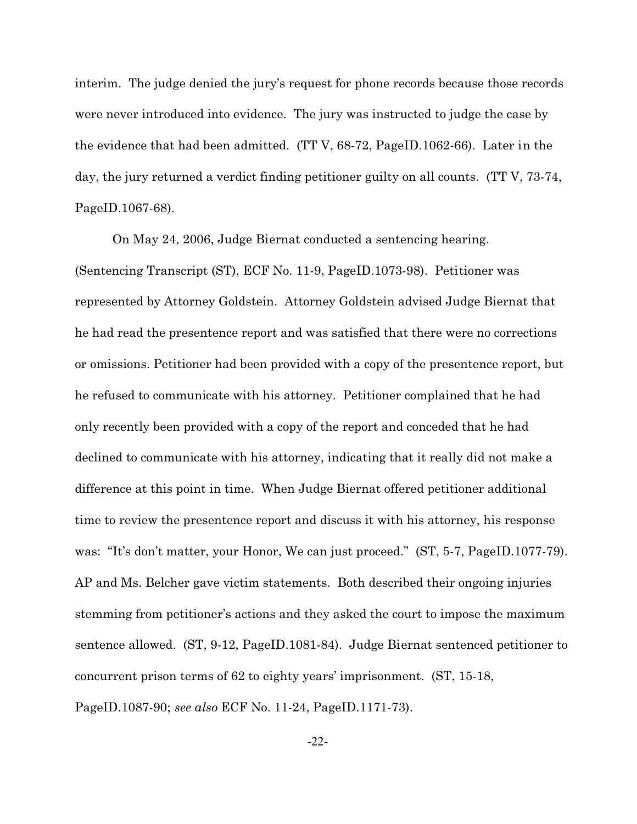interim. The judge denied the jury's request for phone records because those records were never introduced into evidence. The jury was instructed to judge the case by the evidence that had been admitted. (TT V, 68-72, PageID.1062-66). Later in the day, the jury returned a verdict finding petitioner guilty on all counts. (TT V, 73-74, PageID.1067-68).

On May 24, 2006, Judge Biernat conducted a sentencing hearing. (Sentencing Transcript (ST), ECF No. 11-9, PageID.1073-98). Petitioner was represented by Attorney Goldstein. Attorney Goldstein advised Judge Biernat that he had read the presentence report and was satisfied that there were no corrections or omissions. Petitioner had been provided with a copy of the presentence report, but he refused to communicate with his attorney. Petitioner complained that he had only recently been provided with a copy of the report and conceded that he had declined to communicate with his attorney, indicating that it really did not make a difference at this point in time. When Judge Biernat offered petitioner additional time to review the presentence report and discuss it with his attorney, his response was: "It's don't matter, your Honor, We can just proceed." (ST, 5-7, PageID.1077-79). AP and Ms. Belcher gave victim statements. Both described their ongoing injuries stemming from petitioner's actions and they asked the court to impose the maximum sentence allowed. (ST, 9-12, PageID.1081-84). Judge Biernat sentenced petitioner to concurrent prison terms of 62 to eighty years' imprisonment. (ST, 15-18, PageID.1087-90; *see also* ECF No. 11-24, PageID.1171-73).

-22-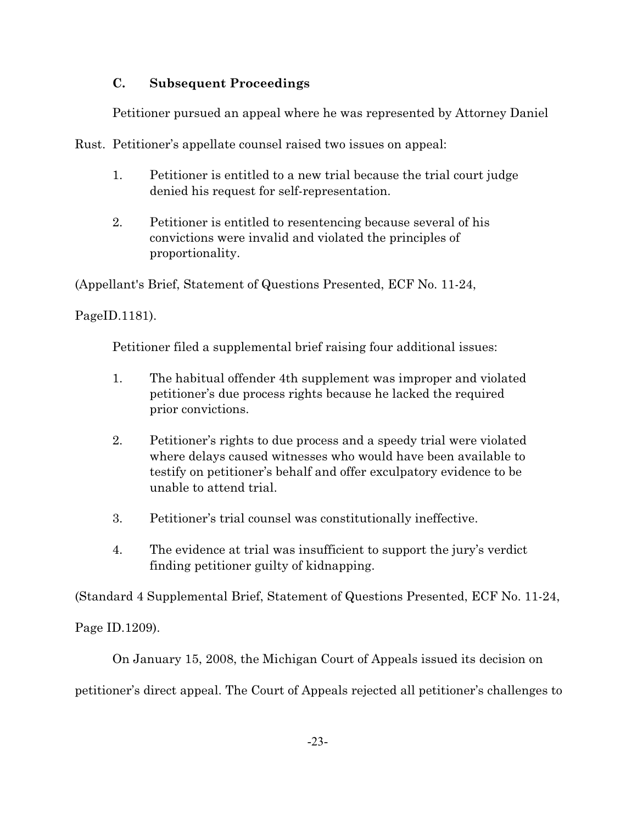# **C. Subsequent Proceedings**

Petitioner pursued an appeal where he was represented by Attorney Daniel

Rust. Petitioner's appellate counsel raised two issues on appeal:

- 1. Petitioner is entitled to a new trial because the trial court judge denied his request for self-representation.
- 2. Petitioner is entitled to resentencing because several of his convictions were invalid and violated the principles of proportionality.

(Appellant's Brief, Statement of Questions Presented, ECF No. 11-24,

PageID.1181).

Petitioner filed a supplemental brief raising four additional issues:

- 1. The habitual offender 4th supplement was improper and violated petitioner's due process rights because he lacked the required prior convictions.
- 2. Petitioner's rights to due process and a speedy trial were violated where delays caused witnesses who would have been available to testify on petitioner's behalf and offer exculpatory evidence to be unable to attend trial.
- 3. Petitioner's trial counsel was constitutionally ineffective.
- 4. The evidence at trial was insufficient to support the jury's verdict finding petitioner guilty of kidnapping.

(Standard 4 Supplemental Brief, Statement of Questions Presented, ECF No. 11-24,

Page ID.1209).

On January 15, 2008, the Michigan Court of Appeals issued its decision on

petitioner's direct appeal. The Court of Appeals rejected all petitioner's challenges to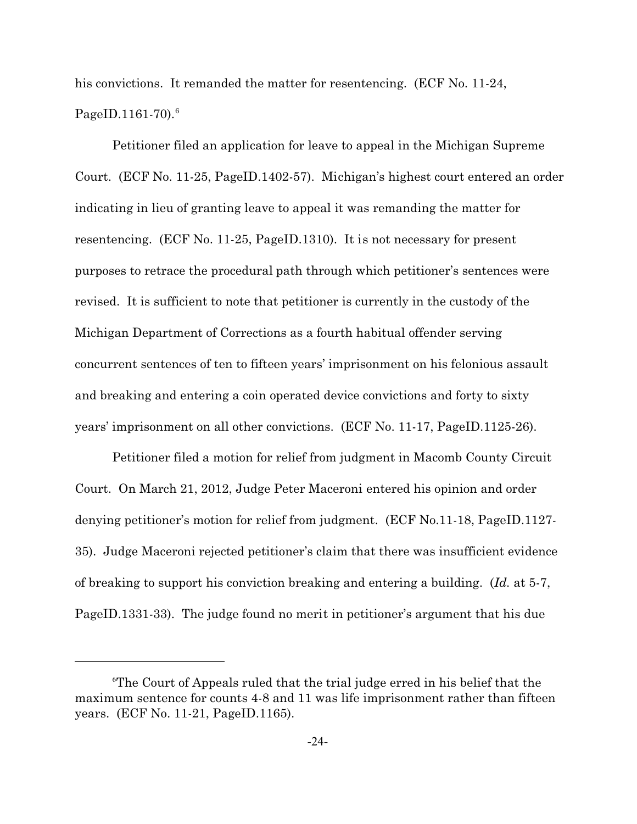his convictions. It remanded the matter for resentencing. (ECF No. 11-24, PageID.1161-70 $^6$ .

Petitioner filed an application for leave to appeal in the Michigan Supreme Court. (ECF No. 11-25, PageID.1402-57). Michigan's highest court entered an order indicating in lieu of granting leave to appeal it was remanding the matter for resentencing. (ECF No. 11-25, PageID.1310). It is not necessary for present purposes to retrace the procedural path through which petitioner's sentences were revised. It is sufficient to note that petitioner is currently in the custody of the Michigan Department of Corrections as a fourth habitual offender serving concurrent sentences of ten to fifteen years' imprisonment on his felonious assault and breaking and entering a coin operated device convictions and forty to sixty years' imprisonment on all other convictions. (ECF No. 11-17, PageID.1125-26).

Petitioner filed a motion for relief from judgment in Macomb County Circuit Court. On March 21, 2012, Judge Peter Maceroni entered his opinion and order denying petitioner's motion for relief from judgment. (ECF No.11-18, PageID.1127- 35). Judge Maceroni rejected petitioner's claim that there was insufficient evidence of breaking to support his conviction breaking and entering a building. (*Id.* at 5-7, PageID.1331-33). The judge found no merit in petitioner's argument that his due

<sup>6</sup>The Court of Appeals ruled that the trial judge erred in his belief that the maximum sentence for counts 4-8 and 11 was life imprisonment rather than fifteen years. (ECF No. 11-21, PageID.1165).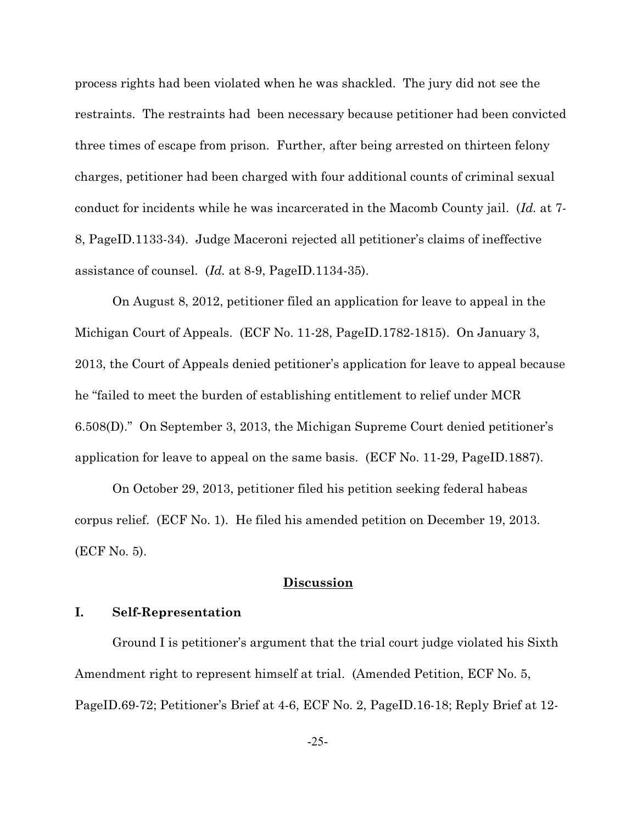process rights had been violated when he was shackled. The jury did not see the restraints. The restraints had been necessary because petitioner had been convicted three times of escape from prison. Further, after being arrested on thirteen felony charges, petitioner had been charged with four additional counts of criminal sexual conduct for incidents while he was incarcerated in the Macomb County jail. (*Id.* at 7- 8, PageID.1133-34). Judge Maceroni rejected all petitioner's claims of ineffective assistance of counsel. (*Id.* at 8-9, PageID.1134-35).

On August 8, 2012, petitioner filed an application for leave to appeal in the Michigan Court of Appeals. (ECF No. 11-28, PageID.1782-1815). On January 3, 2013, the Court of Appeals denied petitioner's application for leave to appeal because he "failed to meet the burden of establishing entitlement to relief under MCR 6.508(D)." On September 3, 2013, the Michigan Supreme Court denied petitioner's application for leave to appeal on the same basis. (ECF No. 11-29, PageID.1887).

On October 29, 2013, petitioner filed his petition seeking federal habeas corpus relief. (ECF No. 1). He filed his amended petition on December 19, 2013. (ECF No. 5).

### **Discussion**

# **I. Self-Representation**

Ground I is petitioner's argument that the trial court judge violated his Sixth Amendment right to represent himself at trial. (Amended Petition, ECF No. 5, PageID.69-72; Petitioner's Brief at 4-6, ECF No. 2, PageID.16-18; Reply Brief at 12-

-25-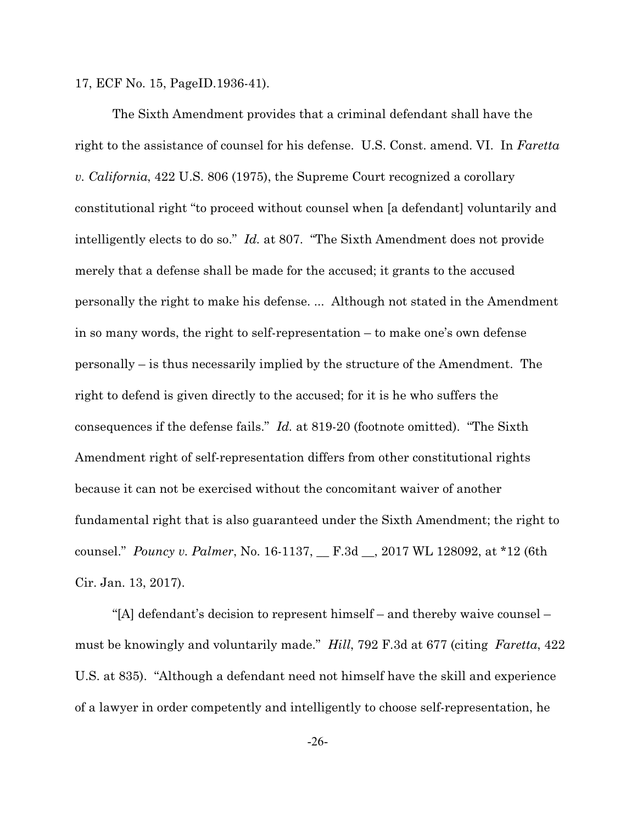17, ECF No. 15, PageID.1936-41).

The Sixth Amendment provides that a criminal defendant shall have the right to the assistance of counsel for his defense. U.S. Const. amend. VI. In *Faretta v. California*, 422 U.S. 806 (1975), the Supreme Court recognized a corollary constitutional right "to proceed without counsel when [a defendant] voluntarily and intelligently elects to do so." *Id.* at 807. "The Sixth Amendment does not provide merely that a defense shall be made for the accused; it grants to the accused personally the right to make his defense. ... Although not stated in the Amendment in so many words, the right to self-representation – to make one's own defense personally – is thus necessarily implied by the structure of the Amendment. The right to defend is given directly to the accused; for it is he who suffers the consequences if the defense fails." *Id.* at 819-20 (footnote omitted). "The Sixth Amendment right of self-representation differs from other constitutional rights because it can not be exercised without the concomitant waiver of another fundamental right that is also guaranteed under the Sixth Amendment; the right to counsel." *Pouncy v. Palmer*, No. 16-1137, \_\_ F.3d \_\_, 2017 WL 128092, at \*12 (6th Cir. Jan. 13, 2017).

"[A] defendant's decision to represent himself – and thereby waive counsel – must be knowingly and voluntarily made." *Hill*, 792 F.3d at 677 (citing *Faretta*, 422 U.S. at 835). "Although a defendant need not himself have the skill and experience of a lawyer in order competently and intelligently to choose self-representation, he

-26-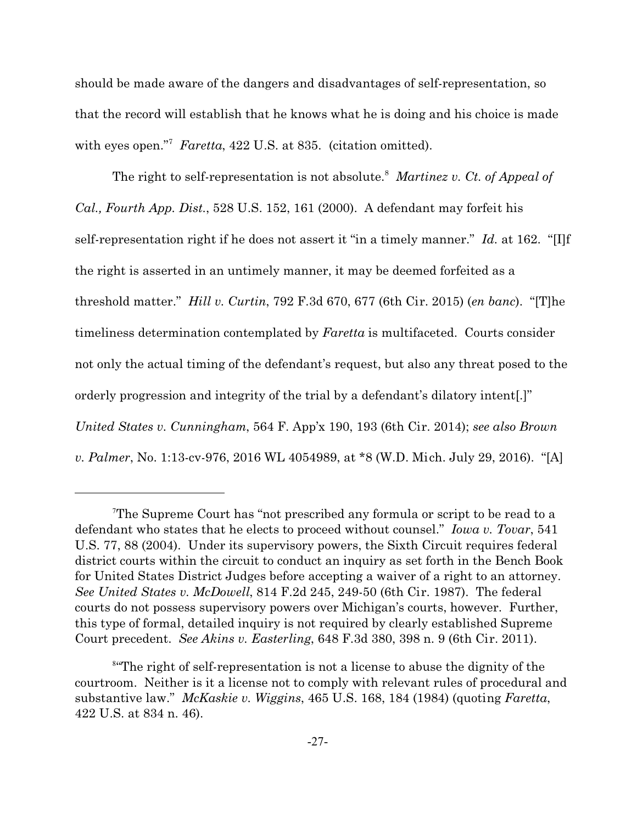should be made aware of the dangers and disadvantages of self-representation, so that the record will establish that he knows what he is doing and his choice is made with eyes open."<sup>7</sup> Faretta, 422 U.S. at 835. (citation omitted).

The right to self-representation is not absolute.<sup>8</sup> Martinez v. Ct. of Appeal of *Cal., Fourth App. Dist.*, 528 U.S. 152, 161 (2000). A defendant may forfeit his self-representation right if he does not assert it "in a timely manner." *Id.* at 162. "[I]f the right is asserted in an untimely manner, it may be deemed forfeited as a threshold matter." *Hill v. Curtin*, 792 F.3d 670, 677 (6th Cir. 2015) (*en banc*). "[T]he timeliness determination contemplated by *Faretta* is multifaceted. Courts consider not only the actual timing of the defendant's request, but also any threat posed to the orderly progression and integrity of the trial by a defendant's dilatory intent[.]" *United States v. Cunningham*, 564 F. App'x 190, 193 (6th Cir. 2014); *see also Brown v. Palmer*, No. 1:13-cv-976, 2016 WL 4054989, at \*8 (W.D. Mich. July 29, 2016). "[A]

<sup>7</sup>The Supreme Court has "not prescribed any formula or script to be read to a defendant who states that he elects to proceed without counsel." *Iowa v. Tovar*, 541 U.S. 77, 88 (2004). Under its supervisory powers, the Sixth Circuit requires federal district courts within the circuit to conduct an inquiry as set forth in the Bench Book for United States District Judges before accepting a waiver of a right to an attorney. *See United States v. McDowell*, 814 F.2d 245, 249-50 (6th Cir. 1987). The federal courts do not possess supervisory powers over Michigan's courts, however. Further, this type of formal, detailed inquiry is not required by clearly established Supreme Court precedent. *See Akins v. Easterling*, 648 F.3d 380, 398 n. 9 (6th Cir. 2011).

<sup>8</sup> "The right of self-representation is not a license to abuse the dignity of the courtroom. Neither is it a license not to comply with relevant rules of procedural and substantive law." *McKaskie v. Wiggins*, 465 U.S. 168, 184 (1984) (quoting *Faretta*, 422 U.S. at 834 n. 46).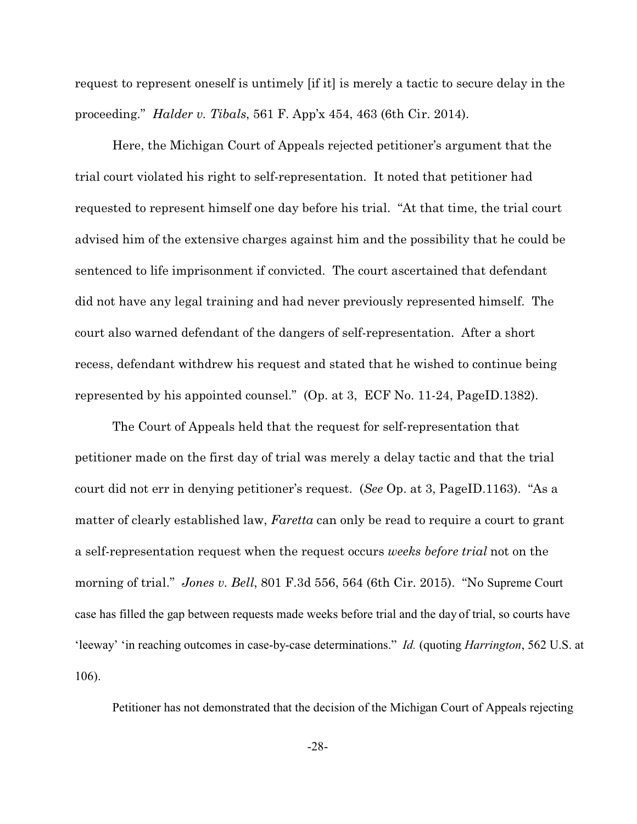request to represent oneself is untimely [if it] is merely a tactic to secure delay in the proceeding." *Halder v. Tibals*, 561 F. App'x 454, 463 (6th Cir. 2014).

Here, the Michigan Court of Appeals rejected petitioner's argument that the trial court violated his right to self-representation. It noted that petitioner had requested to represent himself one day before his trial. "At that time, the trial court advised him of the extensive charges against him and the possibility that he could be sentenced to life imprisonment if convicted. The court ascertained that defendant did not have any legal training and had never previously represented himself. The court also warned defendant of the dangers of self-representation. After a short recess, defendant withdrew his request and stated that he wished to continue being represented by his appointed counsel." (Op. at 3, ECF No. 11-24, PageID.1382).

The Court of Appeals held that the request for self-representation that petitioner made on the first day of trial was merely a delay tactic and that the trial court did not err in denying petitioner's request. (*See* Op. at 3, PageID.1163). "As a matter of clearly established law, *Faretta* can only be read to require a court to grant a self-representation request when the request occurs *weeks before trial* not on the morning of trial." *Jones v. Bell*, 801 F.3d 556, 564 (6th Cir. 2015). "No Supreme Court case has filled the gap between requests made weeks before trial and the day of trial, so courts have 'leeway' 'in reaching outcomes in case-by-case determinations." *Id.* (quoting *Harrington*, 562 U.S. at 106).

Petitioner has not demonstrated that the decision of the Michigan Court of Appeals rejecting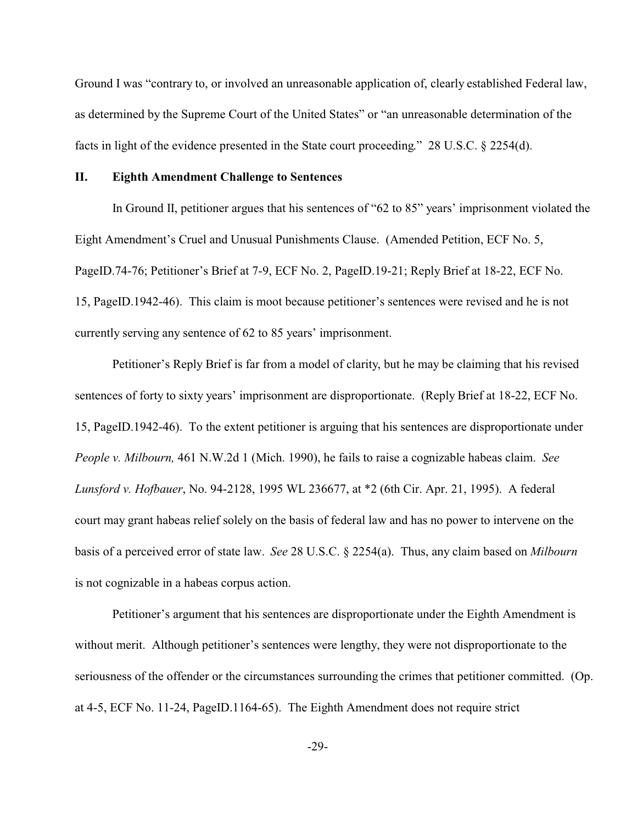Ground I was "contrary to, or involved an unreasonable application of, clearly established Federal law, as determined by the Supreme Court of the United States" or "an unreasonable determination of the facts in light of the evidence presented in the State court proceeding." 28 U.S.C. § 2254(d).

### **II. Eighth Amendment Challenge to Sentences**

In Ground II, petitioner argues that his sentences of "62 to 85" years' imprisonment violated the Eight Amendment's Cruel and Unusual Punishments Clause. (Amended Petition, ECF No. 5, PageID.74-76; Petitioner's Brief at 7-9, ECF No. 2, PageID.19-21; Reply Brief at 18-22, ECF No. 15, PageID.1942-46). This claim is moot because petitioner's sentences were revised and he is not currently serving any sentence of 62 to 85 years' imprisonment.

Petitioner's Reply Brief is far from a model of clarity, but he may be claiming that his revised sentences of forty to sixty years' imprisonment are disproportionate. (Reply Brief at 18-22, ECF No. 15, PageID.1942-46). To the extent petitioner is arguing that his sentences are disproportionate under *People v. Milbourn,* 461 N.W.2d 1 (Mich. 1990), he fails to raise a cognizable habeas claim. *See Lunsford v. Hofbauer*, No. 94-2128, 1995 WL 236677, at \*2 (6th Cir. Apr. 21, 1995). A federal court may grant habeas relief solely on the basis of federal law and has no power to intervene on the basis of a perceived error of state law. *See* 28 U.S.C. § 2254(a). Thus, any claim based on *Milbourn* is not cognizable in a habeas corpus action.

Petitioner's argument that his sentences are disproportionate under the Eighth Amendment is without merit. Although petitioner's sentences were lengthy, they were not disproportionate to the seriousness of the offender or the circumstances surrounding the crimes that petitioner committed. (Op. at 4-5, ECF No. 11-24, PageID.1164-65). The Eighth Amendment does not require strict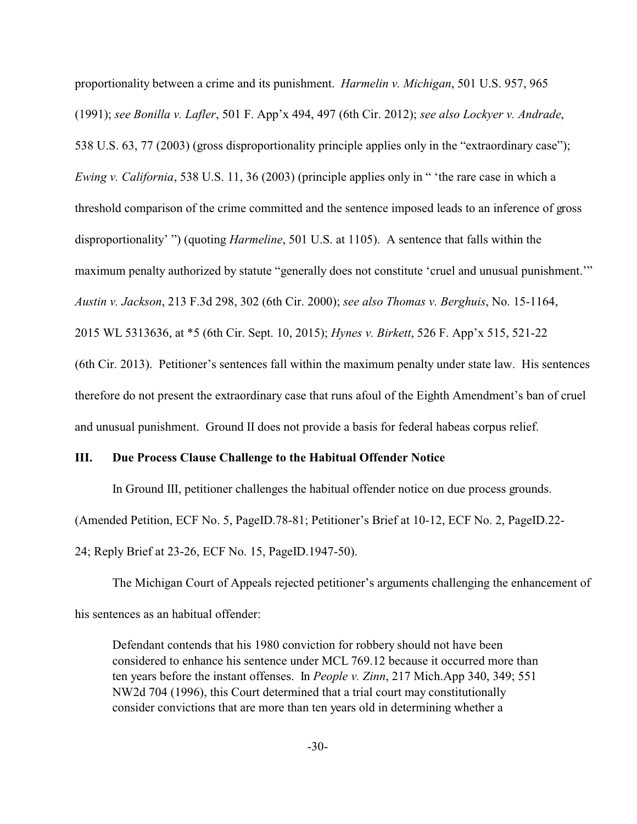proportionality between a crime and its punishment. *Harmelin v. Michigan*, 501 U.S. 957, 965 (1991); *see Bonilla v. Lafler*, 501 F. App'x 494, 497 (6th Cir. 2012); *see also Lockyer v. Andrade*, 538 U.S. 63, 77 (2003) (gross disproportionality principle applies only in the "extraordinary case"); *Ewing v. California*, 538 U.S. 11, 36 (2003) (principle applies only in " 'the rare case in which a threshold comparison of the crime committed and the sentence imposed leads to an inference of gross disproportionality' ") (quoting *Harmeline*, 501 U.S. at 1105). A sentence that falls within the maximum penalty authorized by statute "generally does not constitute 'cruel and unusual punishment.'" *Austin v. Jackson*, 213 F.3d 298, 302 (6th Cir. 2000); *see also Thomas v. Berghuis*, No. 15-1164, 2015 WL 5313636, at \*5 (6th Cir. Sept. 10, 2015); *Hynes v. Birkett*, 526 F. App'x 515, 521-22 (6th Cir. 2013). Petitioner's sentences fall within the maximum penalty under state law. His sentences therefore do not present the extraordinary case that runs afoul of the Eighth Amendment's ban of cruel and unusual punishment. Ground II does not provide a basis for federal habeas corpus relief.

### **III. Due Process Clause Challenge to the Habitual Offender Notice**

In Ground III, petitioner challenges the habitual offender notice on due process grounds. (Amended Petition, ECF No. 5, PageID.78-81; Petitioner's Brief at 10-12, ECF No. 2, PageID.22- 24; Reply Brief at 23-26, ECF No. 15, PageID.1947-50).

The Michigan Court of Appeals rejected petitioner's arguments challenging the enhancement of his sentences as an habitual offender:

Defendant contends that his 1980 conviction for robbery should not have been considered to enhance his sentence under MCL 769.12 because it occurred more than ten years before the instant offenses. In *People v. Zinn*, 217 Mich.App 340, 349; 551 NW2d 704 (1996), this Court determined that a trial court may constitutionally consider convictions that are more than ten years old in determining whether a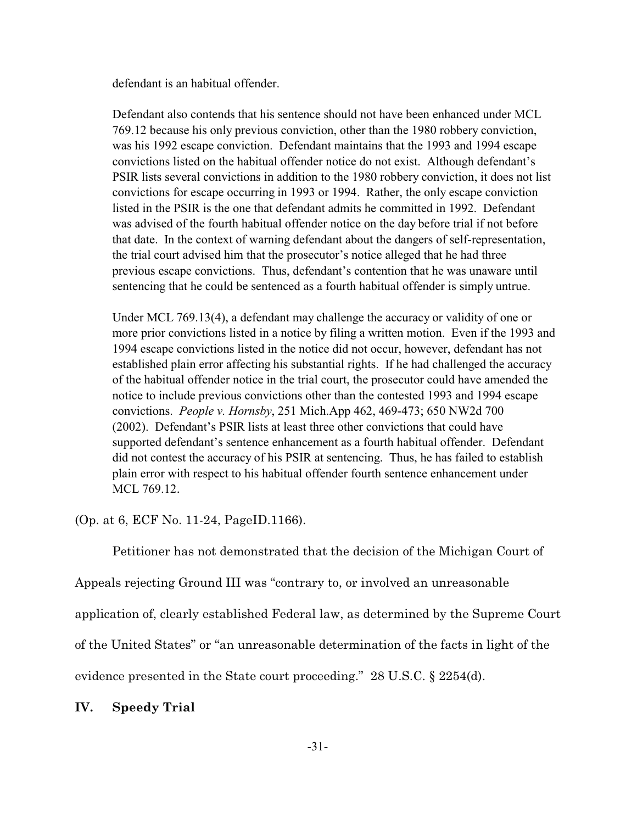defendant is an habitual offender.

Defendant also contends that his sentence should not have been enhanced under MCL 769.12 because his only previous conviction, other than the 1980 robbery conviction, was his 1992 escape conviction. Defendant maintains that the 1993 and 1994 escape convictions listed on the habitual offender notice do not exist. Although defendant's PSIR lists several convictions in addition to the 1980 robbery conviction, it does not list convictions for escape occurring in 1993 or 1994. Rather, the only escape conviction listed in the PSIR is the one that defendant admits he committed in 1992. Defendant was advised of the fourth habitual offender notice on the day before trial if not before that date. In the context of warning defendant about the dangers of self-representation, the trial court advised him that the prosecutor's notice alleged that he had three previous escape convictions. Thus, defendant's contention that he was unaware until sentencing that he could be sentenced as a fourth habitual offender is simply untrue.

Under MCL 769.13(4), a defendant may challenge the accuracy or validity of one or more prior convictions listed in a notice by filing a written motion. Even if the 1993 and 1994 escape convictions listed in the notice did not occur, however, defendant has not established plain error affecting his substantial rights. If he had challenged the accuracy of the habitual offender notice in the trial court, the prosecutor could have amended the notice to include previous convictions other than the contested 1993 and 1994 escape convictions. *People v. Hornsby*, 251 Mich.App 462, 469-473; 650 NW2d 700 (2002). Defendant's PSIR lists at least three other convictions that could have supported defendant's sentence enhancement as a fourth habitual offender. Defendant did not contest the accuracy of his PSIR at sentencing. Thus, he has failed to establish plain error with respect to his habitual offender fourth sentence enhancement under MCL 769.12.

(Op. at 6, ECF No. 11-24, PageID.1166).

Petitioner has not demonstrated that the decision of the Michigan Court of Appeals rejecting Ground III was "contrary to, or involved an unreasonable application of, clearly established Federal law, as determined by the Supreme Court of the United States" or "an unreasonable determination of the facts in light of the evidence presented in the State court proceeding." 28 U.S.C. § 2254(d).

# **IV. Speedy Trial**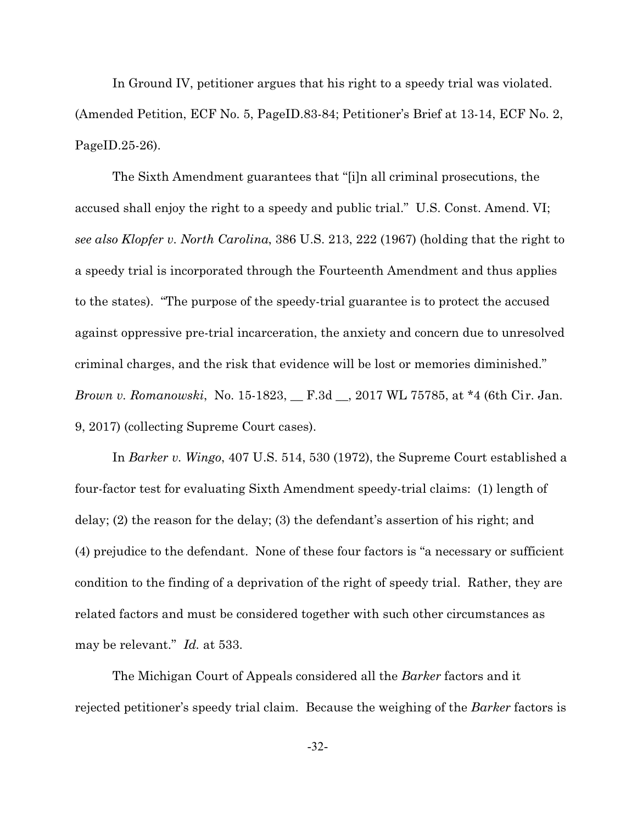In Ground IV, petitioner argues that his right to a speedy trial was violated. (Amended Petition, ECF No. 5, PageID.83-84; Petitioner's Brief at 13-14, ECF No. 2, PageID.25-26).

The Sixth Amendment guarantees that "[i]n all criminal prosecutions, the accused shall enjoy the right to a speedy and public trial." U.S. Const. Amend. VI; *see also Klopfer v. North Carolina*, 386 U.S. 213, 222 (1967) (holding that the right to a speedy trial is incorporated through the Fourteenth Amendment and thus applies to the states). "The purpose of the speedy-trial guarantee is to protect the accused against oppressive pre-trial incarceration, the anxiety and concern due to unresolved criminal charges, and the risk that evidence will be lost or memories diminished." *Brown v. Romanowski*, No. 15-1823, \_\_ F.3d \_\_, 2017 WL 75785, at \*4 (6th Cir. Jan. 9, 2017) (collecting Supreme Court cases).

In *Barker v. Wingo*, 407 U.S. 514, 530 (1972), the Supreme Court established a four-factor test for evaluating Sixth Amendment speedy-trial claims: (1) length of delay; (2) the reason for the delay; (3) the defendant's assertion of his right; and (4) prejudice to the defendant. None of these four factors is "a necessary or sufficient condition to the finding of a deprivation of the right of speedy trial. Rather, they are related factors and must be considered together with such other circumstances as may be relevant." *Id.* at 533.

The Michigan Court of Appeals considered all the *Barker* factors and it rejected petitioner's speedy trial claim. Because the weighing of the *Barker* factors is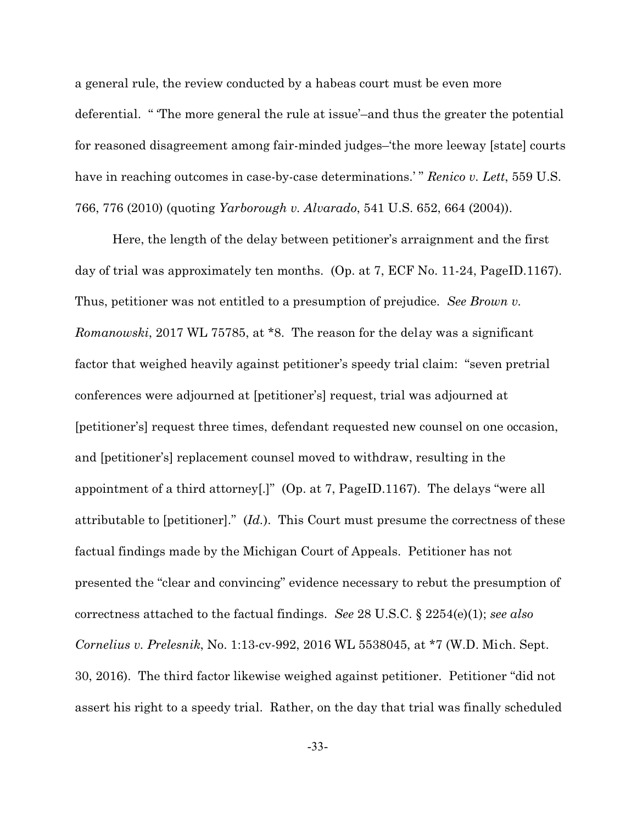a general rule, the review conducted by a habeas court must be even more deferential. " 'The more general the rule at issue'–and thus the greater the potential for reasoned disagreement among fair-minded judges–'the more leeway [state] courts have in reaching outcomes in case-by-case determinations.' " *Renico v. Lett*, 559 U.S. 766, 776 (2010) (quoting *Yarborough v. Alvarado*, 541 U.S. 652, 664 (2004)).

Here, the length of the delay between petitioner's arraignment and the first day of trial was approximately ten months. (Op. at 7, ECF No. 11-24, PageID.1167). Thus, petitioner was not entitled to a presumption of prejudice. *See Brown v. Romanowski*, 2017 WL 75785, at \*8. The reason for the delay was a significant factor that weighed heavily against petitioner's speedy trial claim: "seven pretrial conferences were adjourned at [petitioner's] request, trial was adjourned at [petitioner's] request three times, defendant requested new counsel on one occasion, and [petitioner's] replacement counsel moved to withdraw, resulting in the appointment of a third attorney[.]" (Op. at 7, PageID.1167). The delays "were all attributable to [petitioner]." (*Id.*). This Court must presume the correctness of these factual findings made by the Michigan Court of Appeals. Petitioner has not presented the "clear and convincing" evidence necessary to rebut the presumption of correctness attached to the factual findings. *See* 28 U.S.C. § 2254(e)(1); *see also Cornelius v. Prelesnik*, No. 1:13-cv-992, 2016 WL 5538045, at \*7 (W.D. Mich. Sept. 30, 2016). The third factor likewise weighed against petitioner. Petitioner "did not assert his right to a speedy trial. Rather, on the day that trial was finally scheduled

-33-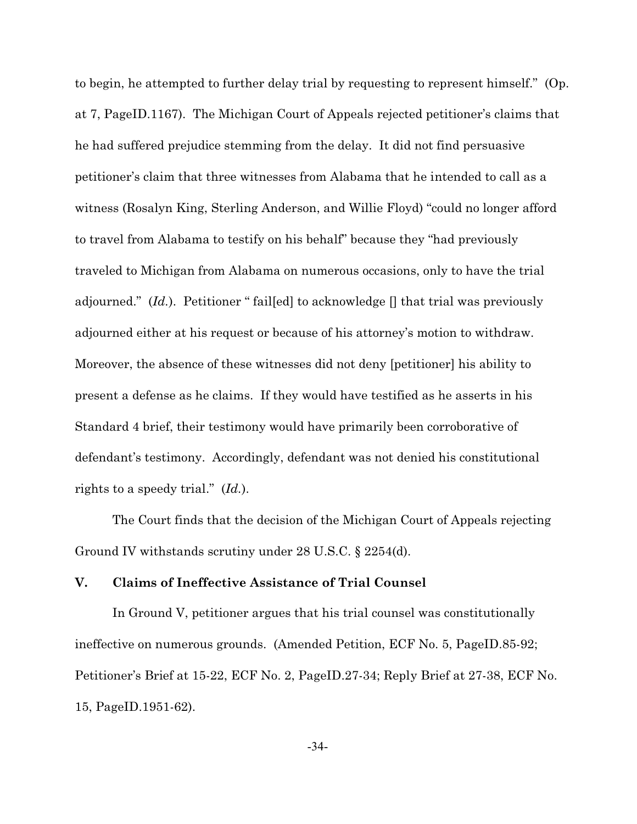to begin, he attempted to further delay trial by requesting to represent himself." (Op. at 7, PageID.1167). The Michigan Court of Appeals rejected petitioner's claims that he had suffered prejudice stemming from the delay. It did not find persuasive petitioner's claim that three witnesses from Alabama that he intended to call as a witness (Rosalyn King, Sterling Anderson, and Willie Floyd) "could no longer afford to travel from Alabama to testify on his behalf" because they "had previously traveled to Michigan from Alabama on numerous occasions, only to have the trial adjourned."  $(Id.)$ . Petitioner "fail[ed] to acknowledge  $\Box$  that trial was previously adjourned either at his request or because of his attorney's motion to withdraw. Moreover, the absence of these witnesses did not deny [petitioner] his ability to present a defense as he claims. If they would have testified as he asserts in his Standard 4 brief, their testimony would have primarily been corroborative of defendant's testimony. Accordingly, defendant was not denied his constitutional rights to a speedy trial." (*Id.*).

The Court finds that the decision of the Michigan Court of Appeals rejecting Ground IV withstands scrutiny under 28 U.S.C. § 2254(d).

# **V. Claims of Ineffective Assistance of Trial Counsel**

In Ground V, petitioner argues that his trial counsel was constitutionally ineffective on numerous grounds. (Amended Petition, ECF No. 5, PageID.85-92; Petitioner's Brief at 15-22, ECF No. 2, PageID.27-34; Reply Brief at 27-38, ECF No. 15, PageID.1951-62).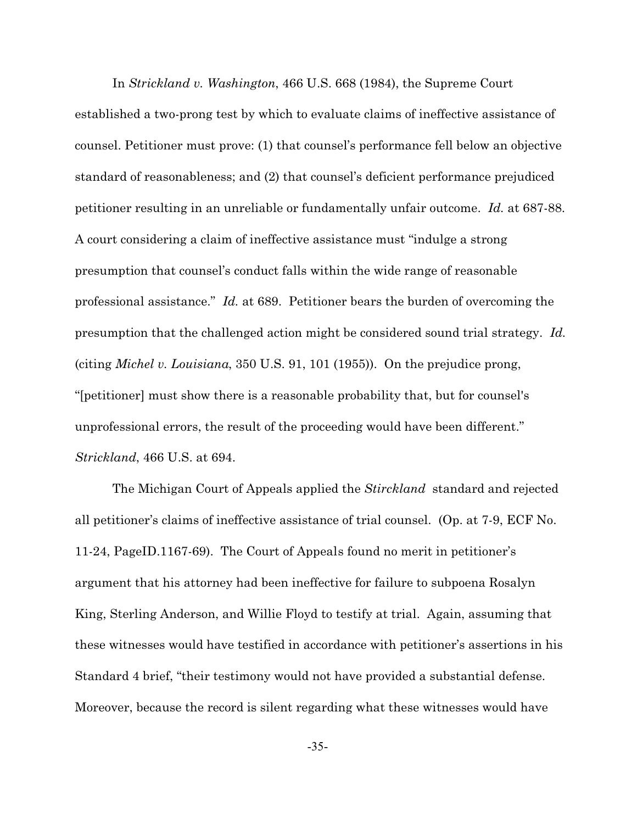In *Strickland v. Washington*, 466 U.S. 668 (1984), the Supreme Court established a two-prong test by which to evaluate claims of ineffective assistance of counsel. Petitioner must prove: (1) that counsel's performance fell below an objective standard of reasonableness; and (2) that counsel's deficient performance prejudiced petitioner resulting in an unreliable or fundamentally unfair outcome. *Id.* at 687-88. A court considering a claim of ineffective assistance must "indulge a strong presumption that counsel's conduct falls within the wide range of reasonable professional assistance." *Id.* at 689. Petitioner bears the burden of overcoming the presumption that the challenged action might be considered sound trial strategy. *Id.* (citing *Michel v. Louisiana*, 350 U.S. 91, 101 (1955)). On the prejudice prong, "[petitioner] must show there is a reasonable probability that, but for counsel's unprofessional errors, the result of the proceeding would have been different." *Strickland*, 466 U.S. at 694.

The Michigan Court of Appeals applied the *Stirckland* standard and rejected all petitioner's claims of ineffective assistance of trial counsel. (Op. at 7-9, ECF No. 11-24, PageID.1167-69). The Court of Appeals found no merit in petitioner's argument that his attorney had been ineffective for failure to subpoena Rosalyn King, Sterling Anderson, and Willie Floyd to testify at trial. Again, assuming that these witnesses would have testified in accordance with petitioner's assertions in his Standard 4 brief, "their testimony would not have provided a substantial defense. Moreover, because the record is silent regarding what these witnesses would have

-35-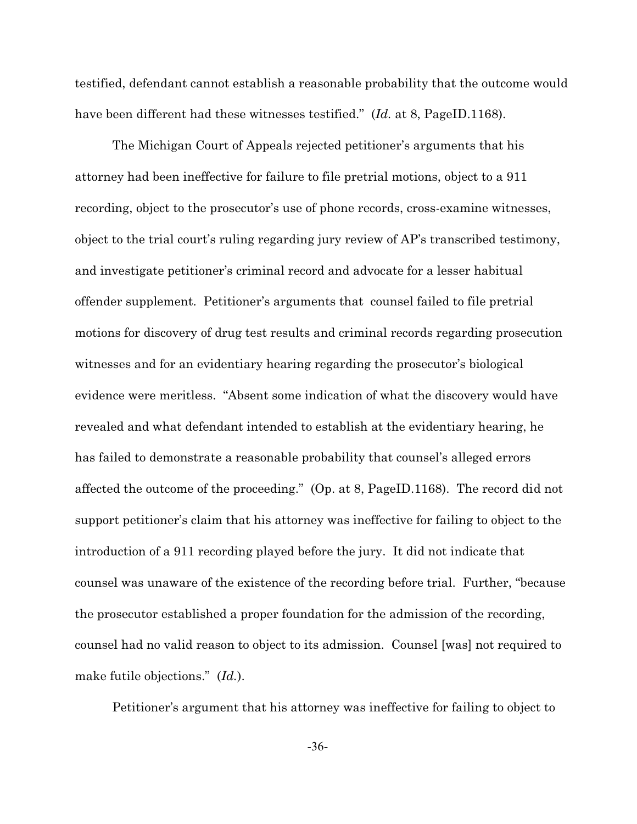testified, defendant cannot establish a reasonable probability that the outcome would have been different had these witnesses testified." (*Id.* at 8, PageID.1168).

The Michigan Court of Appeals rejected petitioner's arguments that his attorney had been ineffective for failure to file pretrial motions, object to a 911 recording, object to the prosecutor's use of phone records, cross-examine witnesses, object to the trial court's ruling regarding jury review of AP's transcribed testimony, and investigate petitioner's criminal record and advocate for a lesser habitual offender supplement. Petitioner's arguments that counsel failed to file pretrial motions for discovery of drug test results and criminal records regarding prosecution witnesses and for an evidentiary hearing regarding the prosecutor's biological evidence were meritless. "Absent some indication of what the discovery would have revealed and what defendant intended to establish at the evidentiary hearing, he has failed to demonstrate a reasonable probability that counsel's alleged errors affected the outcome of the proceeding." (Op. at 8, PageID.1168). The record did not support petitioner's claim that his attorney was ineffective for failing to object to the introduction of a 911 recording played before the jury. It did not indicate that counsel was unaware of the existence of the recording before trial. Further, "because the prosecutor established a proper foundation for the admission of the recording, counsel had no valid reason to object to its admission. Counsel [was] not required to make futile objections." (*Id.*).

Petitioner's argument that his attorney was ineffective for failing to object to

-36-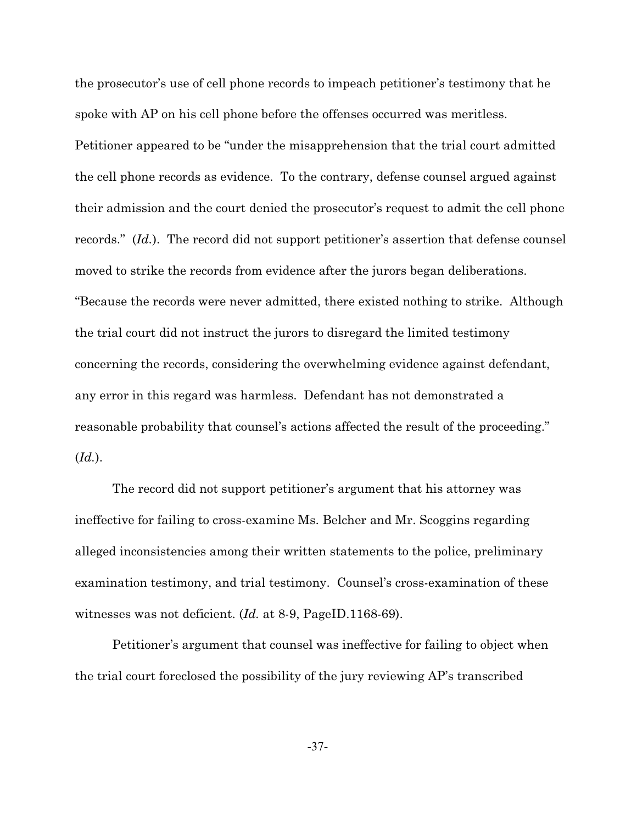the prosecutor's use of cell phone records to impeach petitioner's testimony that he spoke with AP on his cell phone before the offenses occurred was meritless. Petitioner appeared to be "under the misapprehension that the trial court admitted the cell phone records as evidence. To the contrary, defense counsel argued against their admission and the court denied the prosecutor's request to admit the cell phone records." (*Id.*). The record did not support petitioner's assertion that defense counsel moved to strike the records from evidence after the jurors began deliberations. "Because the records were never admitted, there existed nothing to strike. Although the trial court did not instruct the jurors to disregard the limited testimony concerning the records, considering the overwhelming evidence against defendant, any error in this regard was harmless. Defendant has not demonstrated a reasonable probability that counsel's actions affected the result of the proceeding." (*Id.*).

The record did not support petitioner's argument that his attorney was ineffective for failing to cross-examine Ms. Belcher and Mr. Scoggins regarding alleged inconsistencies among their written statements to the police, preliminary examination testimony, and trial testimony. Counsel's cross-examination of these witnesses was not deficient. (*Id.* at 8-9, PageID.1168-69).

Petitioner's argument that counsel was ineffective for failing to object when the trial court foreclosed the possibility of the jury reviewing AP's transcribed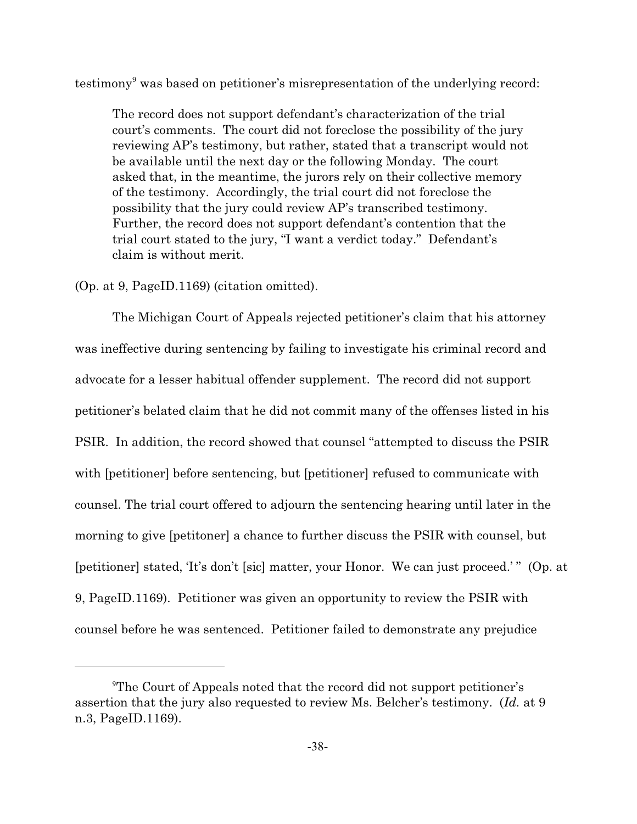testimony<sup>9</sup> was based on petitioner's misrepresentation of the underlying record:

The record does not support defendant's characterization of the trial court's comments. The court did not foreclose the possibility of the jury reviewing AP's testimony, but rather, stated that a transcript would not be available until the next day or the following Monday. The court asked that, in the meantime, the jurors rely on their collective memory of the testimony. Accordingly, the trial court did not foreclose the possibility that the jury could review AP's transcribed testimony. Further, the record does not support defendant's contention that the trial court stated to the jury, "I want a verdict today." Defendant's claim is without merit.

(Op. at 9, PageID.1169) (citation omitted).

The Michigan Court of Appeals rejected petitioner's claim that his attorney was ineffective during sentencing by failing to investigate his criminal record and advocate for a lesser habitual offender supplement. The record did not support petitioner's belated claim that he did not commit many of the offenses listed in his PSIR. In addition, the record showed that counsel "attempted to discuss the PSIR with [petitioner] before sentencing, but [petitioner] refused to communicate with counsel. The trial court offered to adjourn the sentencing hearing until later in the morning to give [petitoner] a chance to further discuss the PSIR with counsel, but [petitioner] stated, 'It's don't [sic] matter, your Honor. We can just proceed.'" (Op. at 9, PageID.1169). Petitioner was given an opportunity to review the PSIR with counsel before he was sentenced. Petitioner failed to demonstrate any prejudice

<sup>9</sup>The Court of Appeals noted that the record did not support petitioner's assertion that the jury also requested to review Ms. Belcher's testimony. (*Id.* at 9 n.3, PageID.1169).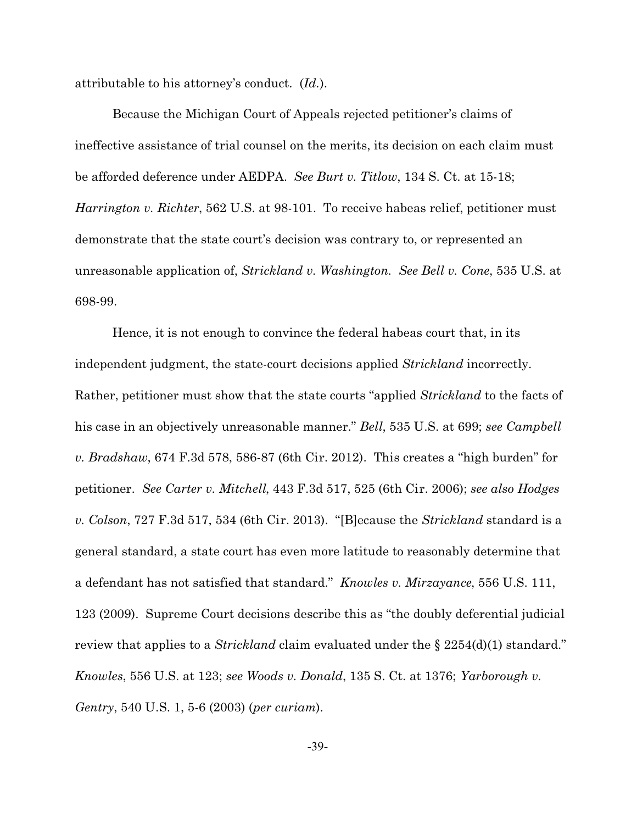attributable to his attorney's conduct. (*Id.*).

Because the Michigan Court of Appeals rejected petitioner's claims of ineffective assistance of trial counsel on the merits, its decision on each claim must be afforded deference under AEDPA. *See Burt v. Titlow*, 134 S. Ct. at 15-18; *Harrington v. Richter*, 562 U.S. at 98-101. To receive habeas relief, petitioner must demonstrate that the state court's decision was contrary to, or represented an unreasonable application of, *Strickland v. Washington*. *See Bell v. Cone*, 535 U.S. at 698-99.

Hence, it is not enough to convince the federal habeas court that, in its independent judgment, the state-court decisions applied *Strickland* incorrectly. Rather, petitioner must show that the state courts "applied *Strickland* to the facts of his case in an objectively unreasonable manner." *Bell*, 535 U.S. at 699; *see Campbell v. Bradshaw*, 674 F.3d 578, 586-87 (6th Cir. 2012). This creates a "high burden" for petitioner. *See Carter v. Mitchell*, 443 F.3d 517, 525 (6th Cir. 2006); *see also Hodges v. Colson*, 727 F.3d 517, 534 (6th Cir. 2013). "[B]ecause the *Strickland* standard is a general standard, a state court has even more latitude to reasonably determine that a defendant has not satisfied that standard." *Knowles v. Mirzayance*, 556 U.S. 111, 123 (2009). Supreme Court decisions describe this as "the doubly deferential judicial review that applies to a *Strickland* claim evaluated under the § 2254(d)(1) standard." *Knowles*, 556 U.S. at 123; *see Woods v. Donald*, 135 S. Ct. at 1376; *Yarborough v. Gentry*, 540 U.S. 1, 5-6 (2003) (*per curiam*).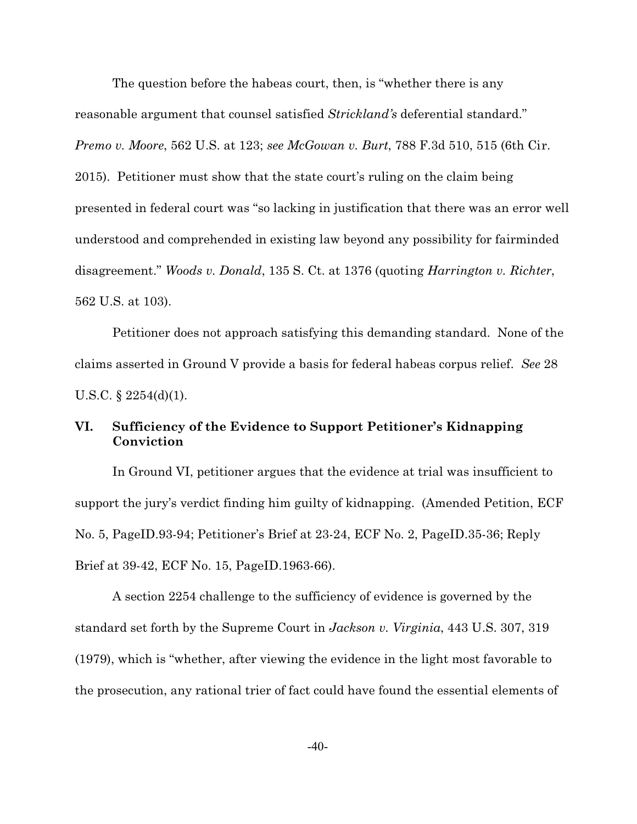The question before the habeas court, then, is "whether there is any reasonable argument that counsel satisfied *Strickland's* deferential standard." *Premo v. Moore*, 562 U.S. at 123; *see McGowan v. Burt*, 788 F.3d 510, 515 (6th Cir. 2015). Petitioner must show that the state court's ruling on the claim being presented in federal court was "so lacking in justification that there was an error well understood and comprehended in existing law beyond any possibility for fairminded disagreement." *Woods v. Donald*, 135 S. Ct. at 1376 (quoting *Harrington v. Richter*, 562 U.S. at 103).

Petitioner does not approach satisfying this demanding standard. None of the claims asserted in Ground V provide a basis for federal habeas corpus relief. *See* 28 U.S.C. § 2254(d)(1).

# **VI. Sufficiency of the Evidence to Support Petitioner's Kidnapping Conviction**

In Ground VI, petitioner argues that the evidence at trial was insufficient to support the jury's verdict finding him guilty of kidnapping. (Amended Petition, ECF No. 5, PageID.93-94; Petitioner's Brief at 23-24, ECF No. 2, PageID.35-36; Reply Brief at 39-42, ECF No. 15, PageID.1963-66).

A section 2254 challenge to the sufficiency of evidence is governed by the standard set forth by the Supreme Court in *Jackson v. Virginia*, 443 U.S. 307, 319 (1979), which is "whether, after viewing the evidence in the light most favorable to the prosecution, any rational trier of fact could have found the essential elements of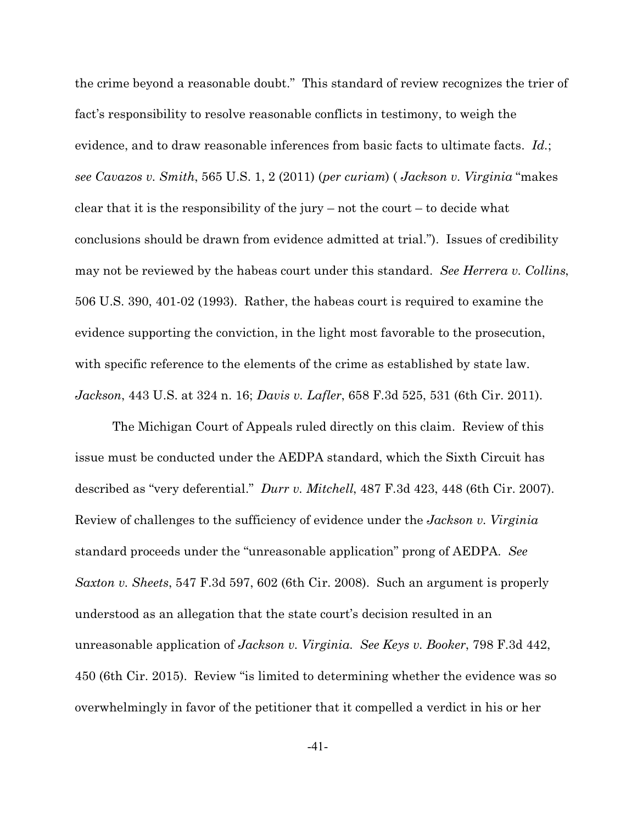the crime beyond a reasonable doubt." This standard of review recognizes the trier of fact's responsibility to resolve reasonable conflicts in testimony, to weigh the evidence, and to draw reasonable inferences from basic facts to ultimate facts. *Id.*; *see Cavazos v. Smith*, 565 U.S. 1, 2 (2011) (*per curiam*) ( *Jackson v. Virginia* "makes clear that it is the responsibility of the jury – not the court – to decide what conclusions should be drawn from evidence admitted at trial."). Issues of credibility may not be reviewed by the habeas court under this standard. *See Herrera v. Collins*, 506 U.S. 390, 401-02 (1993). Rather, the habeas court is required to examine the evidence supporting the conviction, in the light most favorable to the prosecution, with specific reference to the elements of the crime as established by state law. *Jackson*, 443 U.S. at 324 n. 16; *Davis v. Lafler*, 658 F.3d 525, 531 (6th Cir. 2011).

The Michigan Court of Appeals ruled directly on this claim. Review of this issue must be conducted under the AEDPA standard, which the Sixth Circuit has described as "very deferential." *Durr v. Mitchell*, 487 F.3d 423, 448 (6th Cir. 2007). Review of challenges to the sufficiency of evidence under the *Jackson v. Virginia* standard proceeds under the "unreasonable application" prong of AEDPA. *See Saxton v. Sheets*, 547 F.3d 597, 602 (6th Cir. 2008). Such an argument is properly understood as an allegation that the state court's decision resulted in an unreasonable application of *Jackson v. Virginia*. *See Keys v. Booker*, 798 F.3d 442, 450 (6th Cir. 2015). Review "is limited to determining whether the evidence was so overwhelmingly in favor of the petitioner that it compelled a verdict in his or her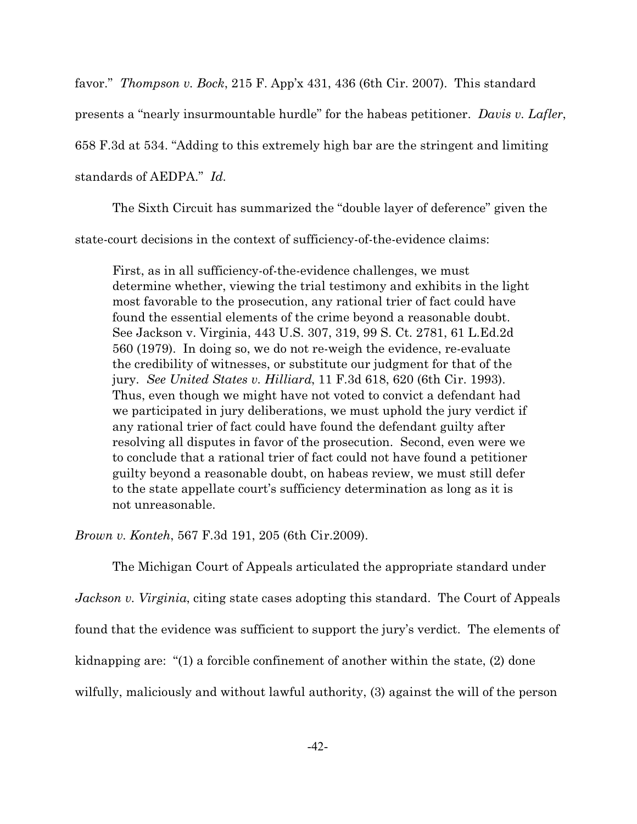favor." *Thompson v. Bock*, 215 F. App'x 431, 436 (6th Cir. 2007). This standard presents a "nearly insurmountable hurdle" for the habeas petitioner. *Davis v. Lafler*, 658 F.3d at 534. "Adding to this extremely high bar are the stringent and limiting standards of AEDPA." *Id.*

The Sixth Circuit has summarized the "double layer of deference" given the state-court decisions in the context of sufficiency-of-the-evidence claims:

First, as in all sufficiency-of-the-evidence challenges, we must determine whether, viewing the trial testimony and exhibits in the light most favorable to the prosecution, any rational trier of fact could have found the essential elements of the crime beyond a reasonable doubt. See Jackson v. Virginia, 443 U.S. 307, 319, 99 S. Ct. 2781, 61 L.Ed.2d 560 (1979). In doing so, we do not re-weigh the evidence, re-evaluate the credibility of witnesses, or substitute our judgment for that of the jury. *See United States v. Hilliard*, 11 F.3d 618, 620 (6th Cir. 1993). Thus, even though we might have not voted to convict a defendant had we participated in jury deliberations, we must uphold the jury verdict if any rational trier of fact could have found the defendant guilty after resolving all disputes in favor of the prosecution. Second, even were we to conclude that a rational trier of fact could not have found a petitioner guilty beyond a reasonable doubt, on habeas review, we must still defer to the state appellate court's sufficiency determination as long as it is not unreasonable.

*Brown v. Konteh*, 567 F.3d 191, 205 (6th Cir.2009).

The Michigan Court of Appeals articulated the appropriate standard under *Jackson v. Virginia*, citing state cases adopting this standard. The Court of Appeals found that the evidence was sufficient to support the jury's verdict. The elements of kidnapping are: "(1) a forcible confinement of another within the state, (2) done wilfully, maliciously and without lawful authority, (3) against the will of the person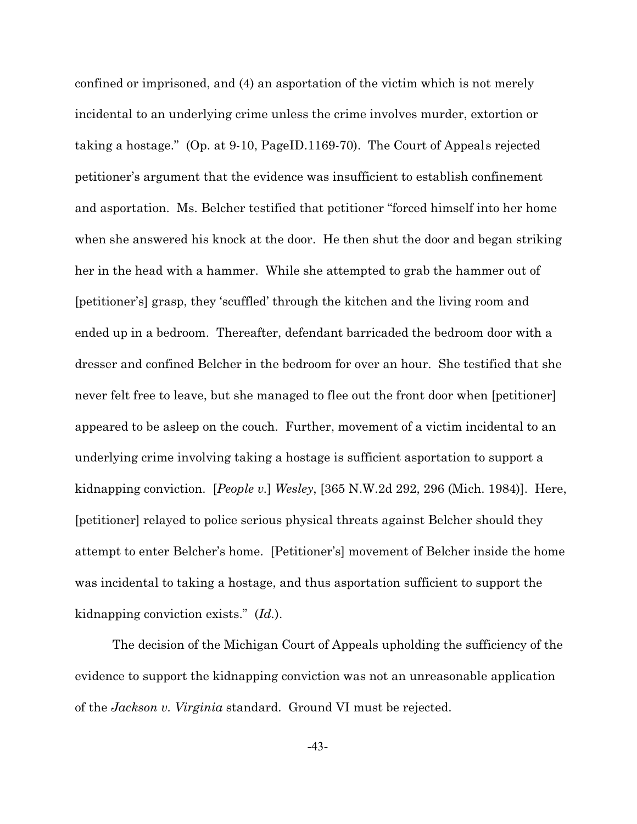confined or imprisoned, and (4) an asportation of the victim which is not merely incidental to an underlying crime unless the crime involves murder, extortion or taking a hostage." (Op. at 9-10, PageID.1169-70). The Court of Appeals rejected petitioner's argument that the evidence was insufficient to establish confinement and asportation. Ms. Belcher testified that petitioner "forced himself into her home when she answered his knock at the door. He then shut the door and began striking her in the head with a hammer. While she attempted to grab the hammer out of [petitioner's] grasp, they 'scuffled' through the kitchen and the living room and ended up in a bedroom. Thereafter, defendant barricaded the bedroom door with a dresser and confined Belcher in the bedroom for over an hour. She testified that she never felt free to leave, but she managed to flee out the front door when [petitioner] appeared to be asleep on the couch. Further, movement of a victim incidental to an underlying crime involving taking a hostage is sufficient asportation to support a kidnapping conviction. [*People v.*] *Wesley*, [365 N.W.2d 292, 296 (Mich. 1984)]. Here, [petitioner] relayed to police serious physical threats against Belcher should they attempt to enter Belcher's home. [Petitioner's] movement of Belcher inside the home was incidental to taking a hostage, and thus asportation sufficient to support the kidnapping conviction exists." (*Id.*).

The decision of the Michigan Court of Appeals upholding the sufficiency of the evidence to support the kidnapping conviction was not an unreasonable application of the *Jackson v. Virginia* standard. Ground VI must be rejected.

-43-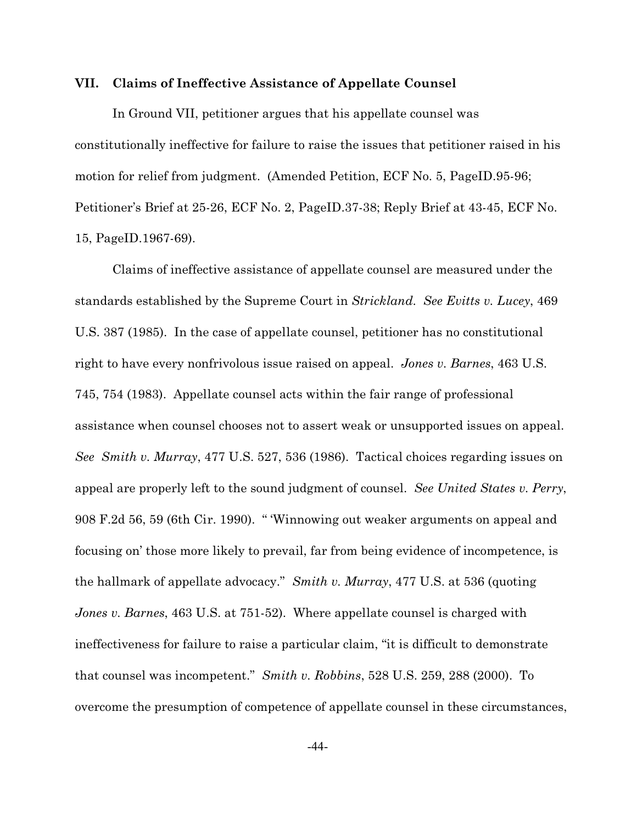#### **VII. Claims of Ineffective Assistance of Appellate Counsel**

In Ground VII, petitioner argues that his appellate counsel was constitutionally ineffective for failure to raise the issues that petitioner raised in his motion for relief from judgment. (Amended Petition, ECF No. 5, PageID.95-96; Petitioner's Brief at 25-26, ECF No. 2, PageID.37-38; Reply Brief at 43-45, ECF No. 15, PageID.1967-69).

Claims of ineffective assistance of appellate counsel are measured under the standards established by the Supreme Court in *Strickland*. *See Evitts v. Lucey*, 469 U.S. 387 (1985). In the case of appellate counsel, petitioner has no constitutional right to have every nonfrivolous issue raised on appeal. *Jones v. Barnes*, 463 U.S. 745, 754 (1983). Appellate counsel acts within the fair range of professional assistance when counsel chooses not to assert weak or unsupported issues on appeal. *See Smith v. Murray*, 477 U.S. 527, 536 (1986). Tactical choices regarding issues on appeal are properly left to the sound judgment of counsel. *See United States v. Perry*, 908 F.2d 56, 59 (6th Cir. 1990). " 'Winnowing out weaker arguments on appeal and focusing on' those more likely to prevail, far from being evidence of incompetence, is the hallmark of appellate advocacy." *Smith v. Murray*, 477 U.S. at 536 (quoting *Jones v. Barnes*, 463 U.S. at 751-52). Where appellate counsel is charged with ineffectiveness for failure to raise a particular claim, "it is difficult to demonstrate that counsel was incompetent." *Smith v. Robbins*, 528 U.S. 259, 288 (2000). To overcome the presumption of competence of appellate counsel in these circumstances,

-44-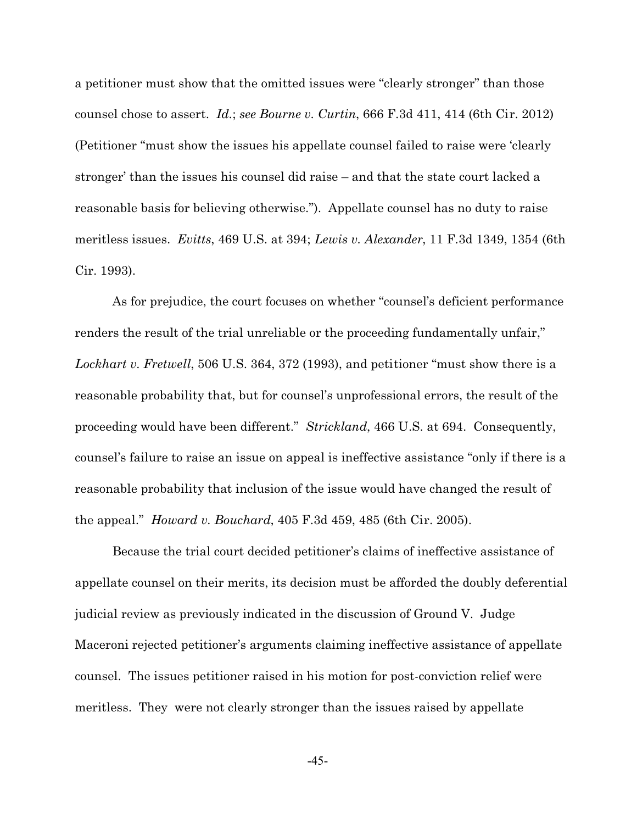a petitioner must show that the omitted issues were "clearly stronger" than those counsel chose to assert. *Id.*; *see Bourne v. Curtin*, 666 F.3d 411, 414 (6th Cir. 2012) (Petitioner "must show the issues his appellate counsel failed to raise were 'clearly stronger' than the issues his counsel did raise – and that the state court lacked a reasonable basis for believing otherwise."). Appellate counsel has no duty to raise meritless issues. *Evitts*, 469 U.S. at 394; *Lewis v. Alexander*, 11 F.3d 1349, 1354 (6th Cir. 1993).

As for prejudice, the court focuses on whether "counsel's deficient performance renders the result of the trial unreliable or the proceeding fundamentally unfair," *Lockhart v. Fretwell*, 506 U.S. 364, 372 (1993), and petitioner "must show there is a reasonable probability that, but for counsel's unprofessional errors, the result of the proceeding would have been different." *Strickland*, 466 U.S. at 694. Consequently, counsel's failure to raise an issue on appeal is ineffective assistance "only if there is a reasonable probability that inclusion of the issue would have changed the result of the appeal." *Howard v. Bouchard*, 405 F.3d 459, 485 (6th Cir. 2005).

Because the trial court decided petitioner's claims of ineffective assistance of appellate counsel on their merits, its decision must be afforded the doubly deferential judicial review as previously indicated in the discussion of Ground V. Judge Maceroni rejected petitioner's arguments claiming ineffective assistance of appellate counsel. The issues petitioner raised in his motion for post-conviction relief were meritless. They were not clearly stronger than the issues raised by appellate

-45-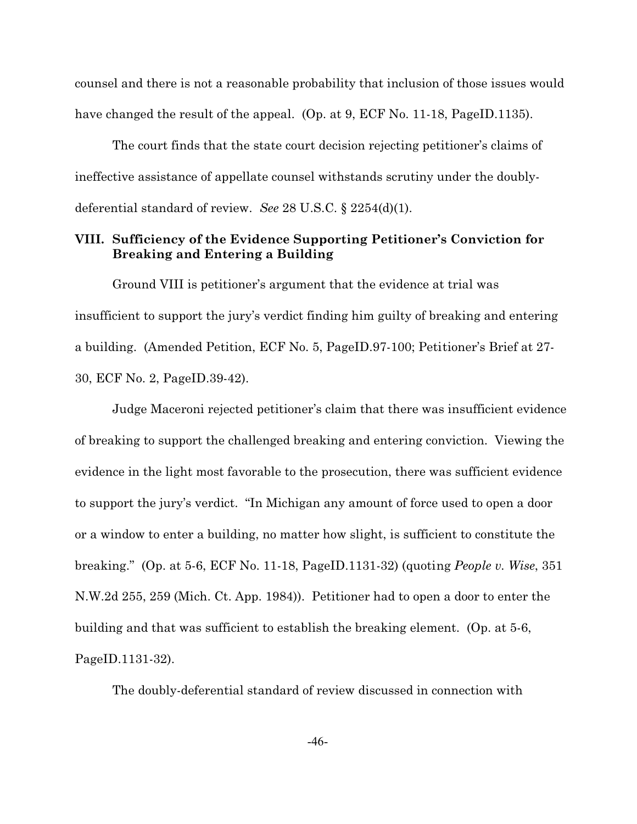counsel and there is not a reasonable probability that inclusion of those issues would have changed the result of the appeal. (Op. at 9, ECF No. 11-18, PageID.1135).

The court finds that the state court decision rejecting petitioner's claims of ineffective assistance of appellate counsel withstands scrutiny under the doublydeferential standard of review. *See* 28 U.S.C. § 2254(d)(1).

# **VIII. Sufficiency of the Evidence Supporting Petitioner's Conviction for Breaking and Entering a Building**

Ground VIII is petitioner's argument that the evidence at trial was insufficient to support the jury's verdict finding him guilty of breaking and entering a building. (Amended Petition, ECF No. 5, PageID.97-100; Petitioner's Brief at 27- 30, ECF No. 2, PageID.39-42).

Judge Maceroni rejected petitioner's claim that there was insufficient evidence of breaking to support the challenged breaking and entering conviction. Viewing the evidence in the light most favorable to the prosecution, there was sufficient evidence to support the jury's verdict. "In Michigan any amount of force used to open a door or a window to enter a building, no matter how slight, is sufficient to constitute the breaking." (Op. at 5-6, ECF No. 11-18, PageID.1131-32) (quoting *People v. Wise*, 351 N.W.2d 255, 259 (Mich. Ct. App. 1984)). Petitioner had to open a door to enter the building and that was sufficient to establish the breaking element. (Op. at 5-6, PageID.1131-32).

The doubly-deferential standard of review discussed in connection with

-46-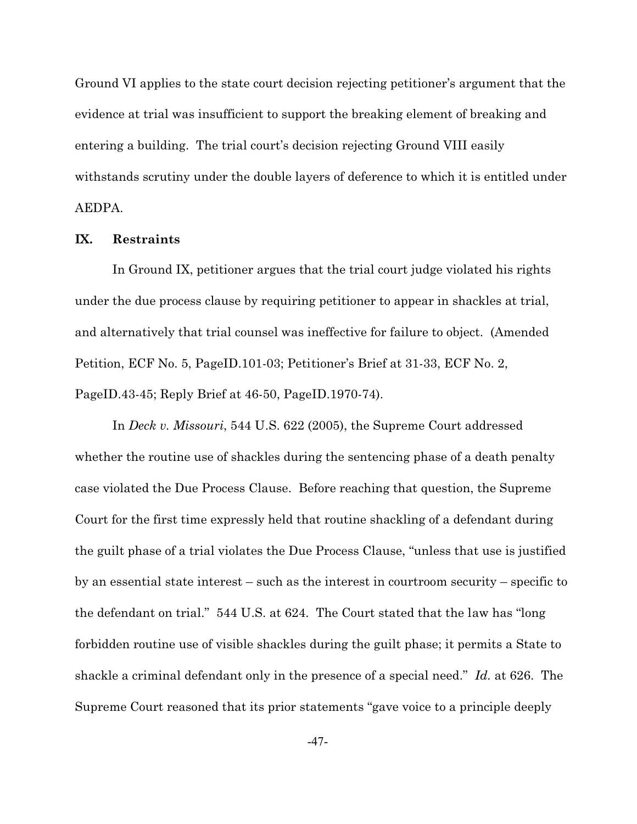Ground VI applies to the state court decision rejecting petitioner's argument that the evidence at trial was insufficient to support the breaking element of breaking and entering a building. The trial court's decision rejecting Ground VIII easily withstands scrutiny under the double layers of deference to which it is entitled under AEDPA.

### **IX. Restraints**

In Ground IX, petitioner argues that the trial court judge violated his rights under the due process clause by requiring petitioner to appear in shackles at trial, and alternatively that trial counsel was ineffective for failure to object. (Amended Petition, ECF No. 5, PageID.101-03; Petitioner's Brief at 31-33, ECF No. 2, PageID.43-45; Reply Brief at 46-50, PageID.1970-74).

In *Deck v. Missouri*, 544 U.S. 622 (2005), the Supreme Court addressed whether the routine use of shackles during the sentencing phase of a death penalty case violated the Due Process Clause. Before reaching that question, the Supreme Court for the first time expressly held that routine shackling of a defendant during the guilt phase of a trial violates the Due Process Clause, "unless that use is justified by an essential state interest – such as the interest in courtroom security – specific to the defendant on trial." 544 U.S. at 624. The Court stated that the law has "long forbidden routine use of visible shackles during the guilt phase; it permits a State to shackle a criminal defendant only in the presence of a special need." *Id.* at 626. The Supreme Court reasoned that its prior statements "gave voice to a principle deeply

-47-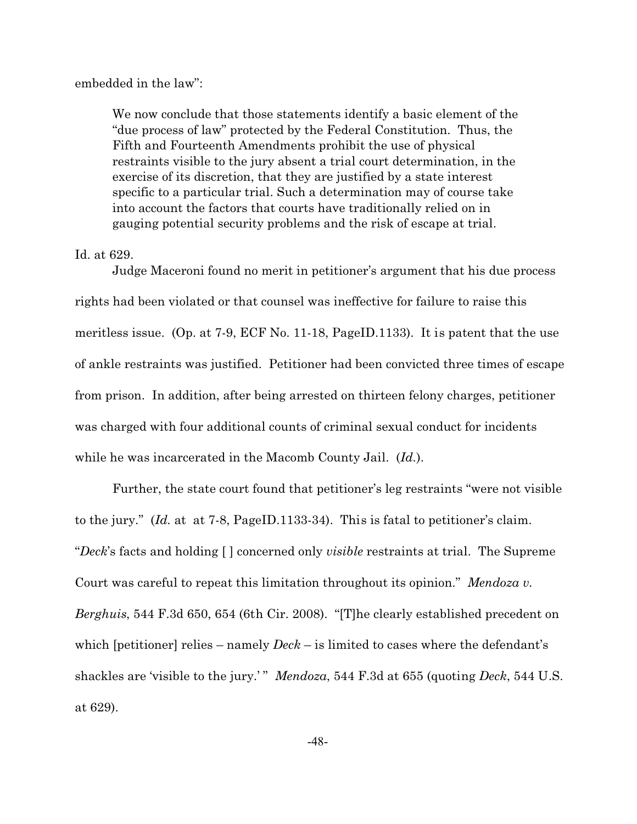embedded in the law":

We now conclude that those statements identify a basic element of the "due process of law" protected by the Federal Constitution. Thus, the Fifth and Fourteenth Amendments prohibit the use of physical restraints visible to the jury absent a trial court determination, in the exercise of its discretion, that they are justified by a state interest specific to a particular trial. Such a determination may of course take into account the factors that courts have traditionally relied on in gauging potential security problems and the risk of escape at trial.

#### Id. at 629.

Judge Maceroni found no merit in petitioner's argument that his due process rights had been violated or that counsel was ineffective for failure to raise this meritless issue. (Op. at 7-9, ECF No. 11-18, PageID.1133). It is patent that the use of ankle restraints was justified. Petitioner had been convicted three times of escape from prison. In addition, after being arrested on thirteen felony charges, petitioner was charged with four additional counts of criminal sexual conduct for incidents while he was incarcerated in the Macomb County Jail. (*Id.*).

Further, the state court found that petitioner's leg restraints "were not visible to the jury." (*Id.* at at 7-8, PageID.1133-34). This is fatal to petitioner's claim. "*Deck*'s facts and holding [ ] concerned only *visible* restraints at trial. The Supreme Court was careful to repeat this limitation throughout its opinion." *Mendoza v. Berghuis*, 544 F.3d 650, 654 (6th Cir. 2008). "[T]he clearly established precedent on which [petitioner] relies – namely *Deck* – is limited to cases where the defendant's shackles are 'visible to the jury.' " *Mendoza*, 544 F.3d at 655 (quoting *Deck*, 544 U.S. at 629).

-48-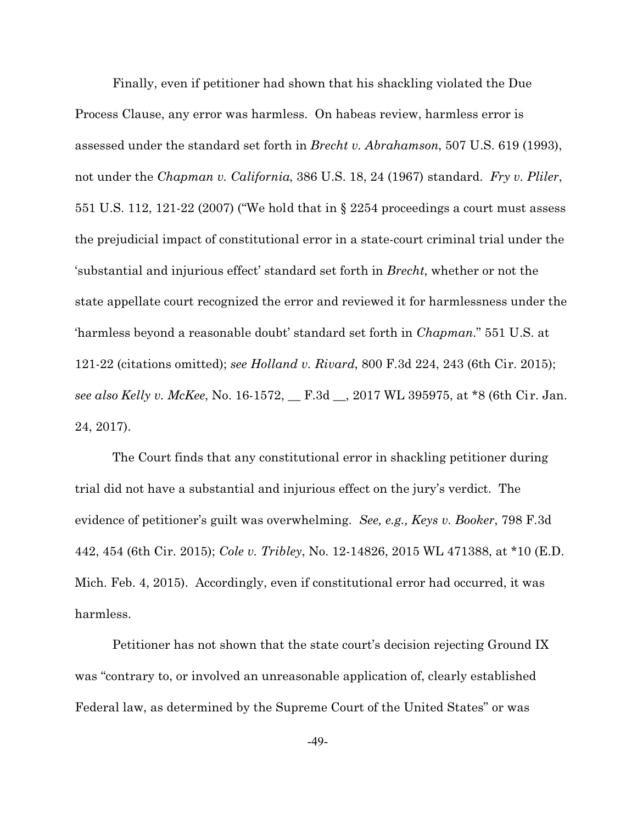Finally, even if petitioner had shown that his shackling violated the Due Process Clause, any error was harmless. On habeas review, harmless error is assessed under the standard set forth in *Brecht v. Abrahamson*, 507 U.S. 619 (1993), not under the *Chapman v. California*, 386 U.S. 18, 24 (1967) standard. *Fry v. Pliler*, 551 U.S. 112, 121-22 (2007) ("We hold that in § 2254 proceedings a court must assess the prejudicial impact of constitutional error in a state-court criminal trial under the 'substantial and injurious effect' standard set forth in *Brecht*, whether or not the state appellate court recognized the error and reviewed it for harmlessness under the 'harmless beyond a reasonable doubt' standard set forth in *Chapman*." 551 U.S. at 121-22 (citations omitted); *see Holland v. Rivard*, 800 F.3d 224, 243 (6th Cir. 2015); *see also Kelly v. McKee*, No. 16-1572, \_\_ F.3d \_\_, 2017 WL 395975, at \*8 (6th Cir. Jan. 24, 2017).

The Court finds that any constitutional error in shackling petitioner during trial did not have a substantial and injurious effect on the jury's verdict. The evidence of petitioner's guilt was overwhelming. *See, e.g., Keys v. Booker*, 798 F.3d 442, 454 (6th Cir. 2015); *Cole v. Tribley*, No. 12-14826, 2015 WL 471388, at \*10 (E.D. Mich. Feb. 4, 2015). Accordingly, even if constitutional error had occurred, it was harmless.

Petitioner has not shown that the state court's decision rejecting Ground IX was "contrary to, or involved an unreasonable application of, clearly established Federal law, as determined by the Supreme Court of the United States" or was

-49-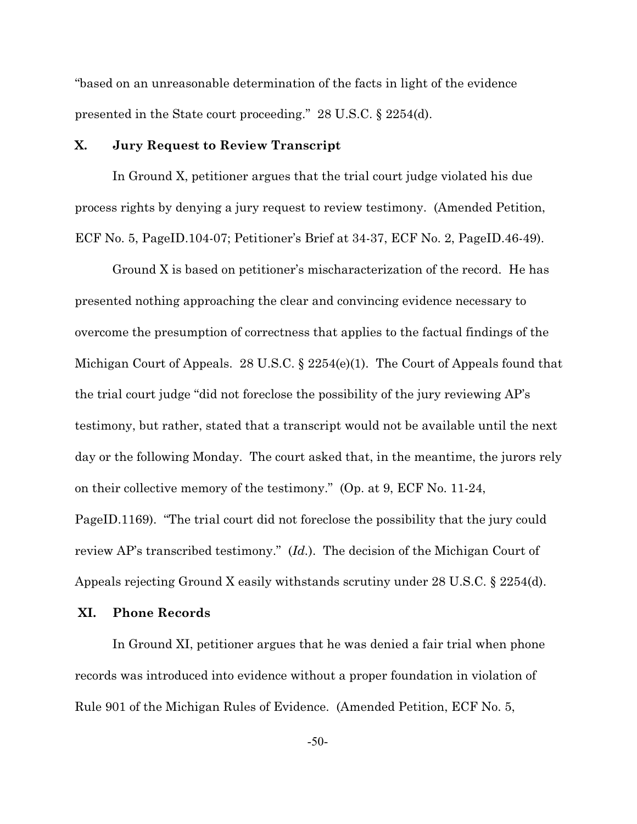"based on an unreasonable determination of the facts in light of the evidence presented in the State court proceeding." 28 U.S.C. § 2254(d).

### **X. Jury Request to Review Transcript**

In Ground X, petitioner argues that the trial court judge violated his due process rights by denying a jury request to review testimony. (Amended Petition, ECF No. 5, PageID.104-07; Petitioner's Brief at 34-37, ECF No. 2, PageID.46-49).

Ground X is based on petitioner's mischaracterization of the record. He has presented nothing approaching the clear and convincing evidence necessary to overcome the presumption of correctness that applies to the factual findings of the Michigan Court of Appeals. 28 U.S.C. § 2254(e)(1). The Court of Appeals found that the trial court judge "did not foreclose the possibility of the jury reviewing AP's testimony, but rather, stated that a transcript would not be available until the next day or the following Monday. The court asked that, in the meantime, the jurors rely on their collective memory of the testimony." (Op. at 9, ECF No. 11-24, PageID.1169). "The trial court did not foreclose the possibility that the jury could review AP's transcribed testimony." (*Id.*). The decision of the Michigan Court of Appeals rejecting Ground X easily withstands scrutiny under 28 U.S.C. § 2254(d).

### **XI. Phone Records**

In Ground XI, petitioner argues that he was denied a fair trial when phone records was introduced into evidence without a proper foundation in violation of Rule 901 of the Michigan Rules of Evidence. (Amended Petition, ECF No. 5,

-50-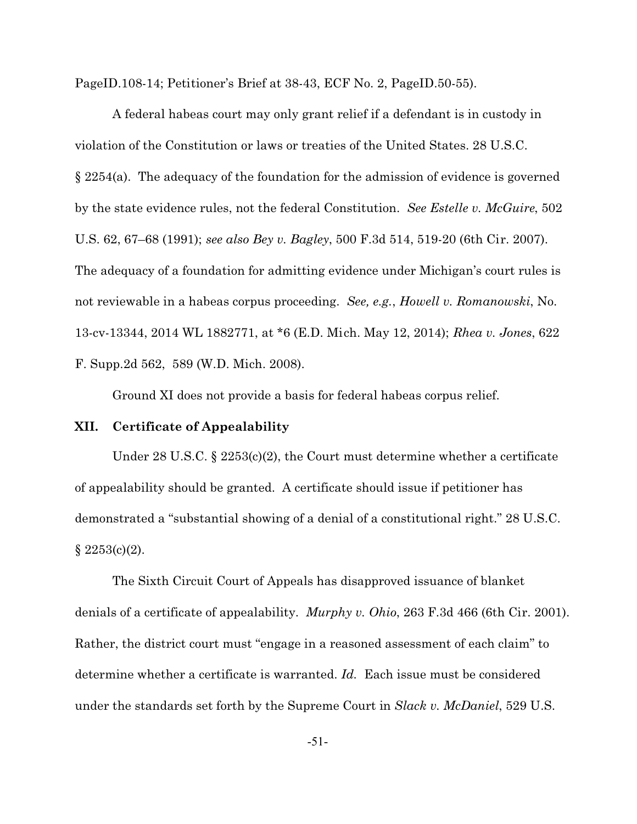PageID.108-14; Petitioner's Brief at 38-43, ECF No. 2, PageID.50-55).

A federal habeas court may only grant relief if a defendant is in custody in violation of the Constitution or laws or treaties of the United States. 28 U.S.C. § 2254(a). The adequacy of the foundation for the admission of evidence is governed by the state evidence rules, not the federal Constitution. *See Estelle v. McGuire*, 502 U.S. 62, 67–68 (1991); *see also Bey v. Bagley*, 500 F.3d 514, 519-20 (6th Cir. 2007). The adequacy of a foundation for admitting evidence under Michigan's court rules is not reviewable in a habeas corpus proceeding. *See, e.g.*, *Howell v. Romanowski*, No. 13-cv-13344, 2014 WL 1882771, at \*6 (E.D. Mich. May 12, 2014); *Rhea v. Jones*, 622 F. Supp.2d 562, 589 (W.D. Mich. 2008).

Ground XI does not provide a basis for federal habeas corpus relief.

### **XII. Certificate of Appealability**

Under 28 U.S.C. § 2253 $(c)(2)$ , the Court must determine whether a certificate of appealability should be granted. A certificate should issue if petitioner has demonstrated a "substantial showing of a denial of a constitutional right." 28 U.S.C.  $§ 2253(c)(2).$ 

The Sixth Circuit Court of Appeals has disapproved issuance of blanket denials of a certificate of appealability. *Murphy v. Ohio*, 263 F.3d 466 (6th Cir. 2001). Rather, the district court must "engage in a reasoned assessment of each claim" to determine whether a certificate is warranted. *Id.* Each issue must be considered under the standards set forth by the Supreme Court in *Slack v. McDaniel*, 529 U.S.

-51-